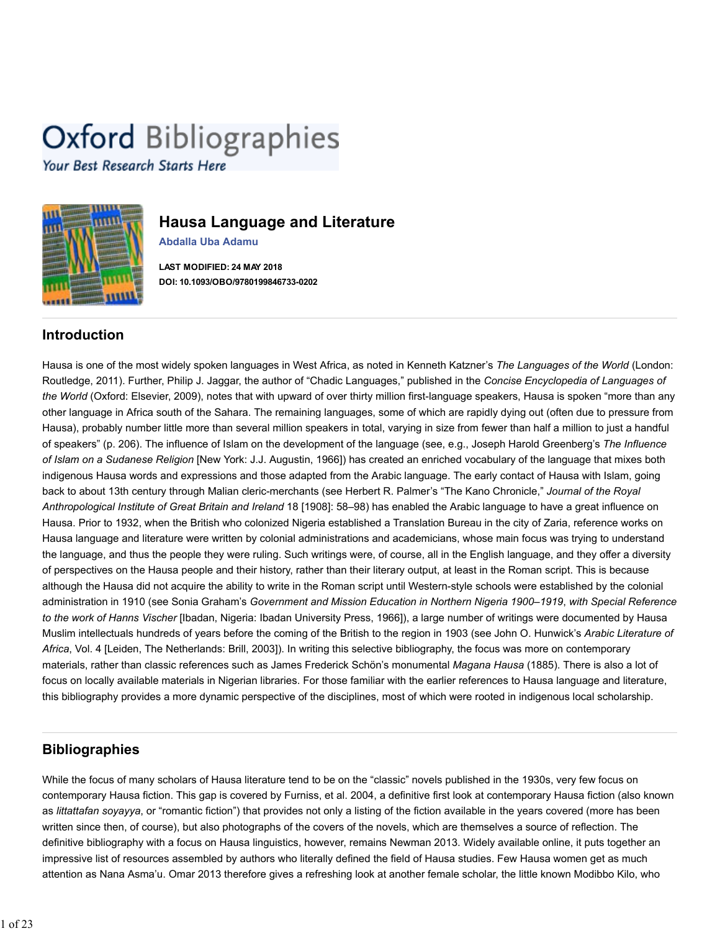# **Oxford Bibliographies**

Your Best Research Starts Here



# **Hausa Language and Literature**

**Abdalla Uba Adamu**

**LAST MODIFIED: 24 MAY 2018 DOI: 10.1093/OBO/9780199846733-0202**

# **Introduction**

Hausa is one of the most widely spoken languages in West Africa, as noted in Kenneth Katzner's *The Languages of the World* (London: Routledge, 2011). Further, Philip J. Jaggar, the author of "Chadic Languages," published in the *Concise Encyclopedia of Languages of the World* (Oxford: Elsevier, 2009), notes that with upward of over thirty million first-language speakers, Hausa is spoken "more than any other language in Africa south of the Sahara. The remaining languages, some of which are rapidly dying out (often due to pressure from Hausa), probably number little more than several million speakers in total, varying in size from fewer than half a million to just a handful of speakers" (p. 206). The influence of Islam on the development of the language (see, e.g., Joseph Harold Greenberg's *The Influence of Islam on a Sudanese Religion* [New York: J.J. Augustin, 1966]) has created an enriched vocabulary of the language that mixes both indigenous Hausa words and expressions and those adapted from the Arabic language. The early contact of Hausa with Islam, going back to about 13th century through Malian cleric-merchants (see Herbert R. Palmer's "The Kano Chronicle," *Journal of the Royal Anthropological Institute of Great Britain and Ireland* 18 [1908]: 58–98) has enabled the Arabic language to have a great influence on Hausa. Prior to 1932, when the British who colonized Nigeria established a Translation Bureau in the city of Zaria, reference works on Hausa language and literature were written by colonial administrations and academicians, whose main focus was trying to understand the language, and thus the people they were ruling. Such writings were, of course, all in the English language, and they offer a diversity of perspectives on the Hausa people and their history, rather than their literary output, at least in the Roman script. This is because although the Hausa did not acquire the ability to write in the Roman script until Western-style schools were established by the colonial administration in 1910 (see Sonia Graham's *Government and Mission Education in Northern Nigeria 1900–1919*, *with Special Reference to the work of Hanns Vischer* [Ibadan, Nigeria: Ibadan University Press, 1966]), a large number of writings were documented by Hausa Muslim intellectuals hundreds of years before the coming of the British to the region in 1903 (see John O. Hunwick's *Arabic Literature of Africa*, Vol. 4 [Leiden, The Netherlands: Brill, 2003]). In writing this selective bibliography, the focus was more on contemporary materials, rather than classic references such as James Frederick Schön's monumental *Magana Hausa* (1885). There is also a lot of focus on locally available materials in Nigerian libraries. For those familiar with the earlier references to Hausa language and literature, this bibliography provides a more dynamic perspective of the disciplines, most of which were rooted in indigenous local scholarship.

# **Bibliographies**

While the focus of many scholars of Hausa literature tend to be on the "classic" novels published in the 1930s, very few focus on contemporary Hausa fiction. This gap is covered by Furniss, et al. 2004, a definitive first look at contemporary Hausa fiction (also known as *littattafan soyayya*, or "romantic fiction") that provides not only a listing of the fiction available in the years covered (more has been written since then, of course), but also photographs of the covers of the novels, which are themselves a source of reflection. The definitive bibliography with a focus on Hausa linguistics, however, remains Newman 2013. Widely available online, it puts together an impressive list of resources assembled by authors who literally defined the field of Hausa studies. Few Hausa women get as much attention as Nana Asma'u. Omar 2013 therefore gives a refreshing look at another female scholar, the little known Modibbo Kilo, who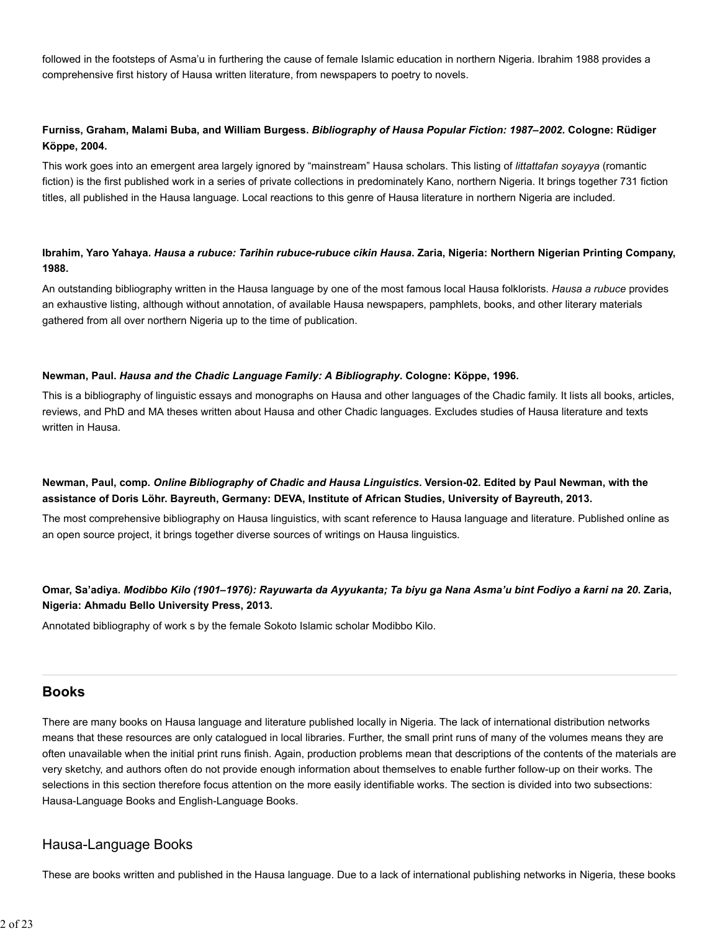followed in the footsteps of Asma'u in furthering the cause of female Islamic education in northern Nigeria. Ibrahim 1988 provides a comprehensive first history of Hausa written literature, from newspapers to poetry to novels.

# **Furniss, Graham, Malami Buba, and William Burgess.** *Bibliography of Hausa Popular Fiction: 1987–2002***. Cologne: Rüdiger Köppe, 2004.**

This work goes into an emergent area largely ignored by "mainstream" Hausa scholars. This listing of *littattafan soyayya* (romantic fiction) is the first published work in a series of private collections in predominately Kano, northern Nigeria. It brings together 731 fiction titles, all published in the Hausa language. Local reactions to this genre of Hausa literature in northern Nigeria are included.

# **Ibrahim, Yaro Yahaya.** *Hausa a rubuce: Tarihin rubuce-rubuce cikin Hausa***. Zaria, Nigeria: Northern Nigerian Printing Company, 1988.**

An outstanding bibliography written in the Hausa language by one of the most famous local Hausa folklorists. *Hausa a rubuce* provides an exhaustive listing, although without annotation, of available Hausa newspapers, pamphlets, books, and other literary materials gathered from all over northern Nigeria up to the time of publication.

#### **Newman, Paul.** *Hausa and the Chadic Language Family: A Bibliography***. Cologne: Köppe, 1996.**

This is a bibliography of linguistic essays and monographs on Hausa and other languages of the Chadic family. It lists all books, articles, reviews, and PhD and MA theses written about Hausa and other Chadic languages. Excludes studies of Hausa literature and texts written in Hausa.

# **Newman, Paul, comp.** *Online Bibliography of Chadic and Hausa Linguistics***. Version-02. Edited by Paul Newman, with the assistance of Doris Löhr. Bayreuth, Germany: DEVA, Institute of African Studies, University of Bayreuth, 2013.**

The most comprehensive bibliography on Hausa linguistics, with scant reference to Hausa language and literature. Published online as an open source project, it brings together diverse sources of writings on Hausa linguistics.

# **Omar, Sa'adiya.** *Modibbo Kilo (1901–1976): Rayuwarta da Ayyukanta; Ta biyu ga Nana Asma'u bint Fodiyo a ƙarni na 20***. Zaria, Nigeria: Ahmadu Bello University Press, 2013.**

Annotated bibliography of work s by the female Sokoto Islamic scholar Modibbo Kilo.

# **Books**

There are many books on Hausa language and literature published locally in Nigeria. The lack of international distribution networks means that these resources are only catalogued in local libraries. Further, the small print runs of many of the volumes means they are often unavailable when the initial print runs finish. Again, production problems mean that descriptions of the contents of the materials are very sketchy, and authors often do not provide enough information about themselves to enable further follow-up on their works. The selections in this section therefore focus attention on the more easily identifiable works. The section is divided into two subsections: Hausa-Language Books and English-Language Books.

# Hausa-Language Books

These are books written and published in the Hausa language. Due to a lack of international publishing networks in Nigeria, these books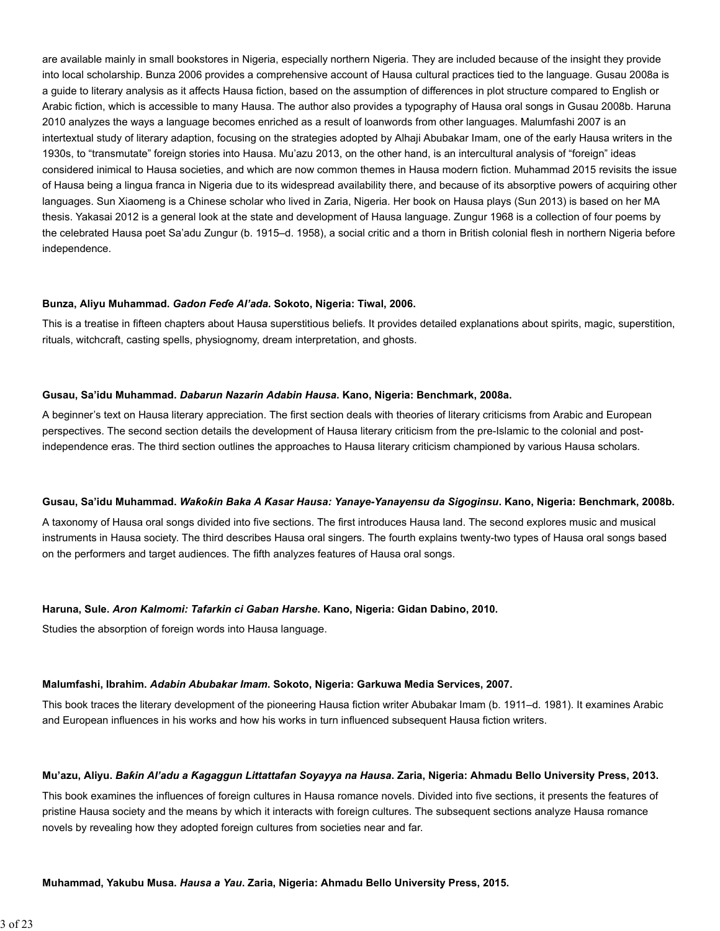are available mainly in small bookstores in Nigeria, especially northern Nigeria. They are included because of the insight they provide into local scholarship. Bunza 2006 provides a comprehensive account of Hausa cultural practices tied to the language. Gusau 2008a is a guide to literary analysis as it affects Hausa fiction, based on the assumption of differences in plot structure compared to English or Arabic fiction, which is accessible to many Hausa. The author also provides a typography of Hausa oral songs in Gusau 2008b. Haruna 2010 analyzes the ways a language becomes enriched as a result of loanwords from other languages. Malumfashi 2007 is an intertextual study of literary adaption, focusing on the strategies adopted by Alhaji Abubakar Imam, one of the early Hausa writers in the 1930s, to "transmutate" foreign stories into Hausa. Mu'azu 2013, on the other hand, is an intercultural analysis of "foreign" ideas considered inimical to Hausa societies, and which are now common themes in Hausa modern fiction. Muhammad 2015 revisits the issue of Hausa being a lingua franca in Nigeria due to its widespread availability there, and because of its absorptive powers of acquiring other languages. Sun Xiaomeng is a Chinese scholar who lived in Zaria, Nigeria. Her book on Hausa plays (Sun 2013) is based on her MA thesis. Yakasai 2012 is a general look at the state and development of Hausa language. Zungur 1968 is a collection of four poems by the celebrated Hausa poet Sa'adu Zungur (b. 1915–d. 1958), a social critic and a thorn in British colonial flesh in northern Nigeria before independence.

#### **Bunza, Aliyu Muhammad.** *Gadon Feɗe Al'ada***. Sokoto, Nigeria: Tiwal, 2006.**

This is a treatise in fifteen chapters about Hausa superstitious beliefs. It provides detailed explanations about spirits, magic, superstition, rituals, witchcraft, casting spells, physiognomy, dream interpretation, and ghosts.

#### **Gusau, Sa'idu Muhammad.** *Dabarun Nazarin Adabin Hausa***. Kano, Nigeria: Benchmark, 2008a.**

A beginner's text on Hausa literary appreciation. The first section deals with theories of literary criticisms from Arabic and European perspectives. The second section details the development of Hausa literary criticism from the pre-Islamic to the colonial and postindependence eras. The third section outlines the approaches to Hausa literary criticism championed by various Hausa scholars.

#### **Gusau, Sa'idu Muhammad.** *Waƙoƙin Baka A Ƙasar Hausa: Yanaye-Yanayensu da Sigoginsu***. Kano, Nigeria: Benchmark, 2008b.**

A taxonomy of Hausa oral songs divided into five sections. The first introduces Hausa land. The second explores music and musical instruments in Hausa society. The third describes Hausa oral singers. The fourth explains twenty-two types of Hausa oral songs based on the performers and target audiences. The fifth analyzes features of Hausa oral songs.

#### **Haruna, Sule.** *Aron Kalmomi: Tafarkin ci Gaban Harshe***. Kano, Nigeria: Gidan Dabino, 2010.**

Studies the absorption of foreign words into Hausa language.

#### **Malumfashi, Ibrahim.** *Adabin Abubakar Imam***. Sokoto, Nigeria: Garkuwa Media Services, 2007.**

This book traces the literary development of the pioneering Hausa fiction writer Abubakar Imam (b. 1911–d. 1981). It examines Arabic and European influences in his works and how his works in turn influenced subsequent Hausa fiction writers.

#### **Mu'azu, Aliyu.** *Baƙin Al'adu a Ƙagaggun Littattafan Soyayya na Hausa***. Zaria, Nigeria: Ahmadu Bello University Press, 2013.**

This book examines the influences of foreign cultures in Hausa romance novels. Divided into five sections, it presents the features of pristine Hausa society and the means by which it interacts with foreign cultures. The subsequent sections analyze Hausa romance novels by revealing how they adopted foreign cultures from societies near and far.

#### **Muhammad, Yakubu Musa.** *Hausa a Yau***. Zaria, Nigeria: Ahmadu Bello University Press, 2015.**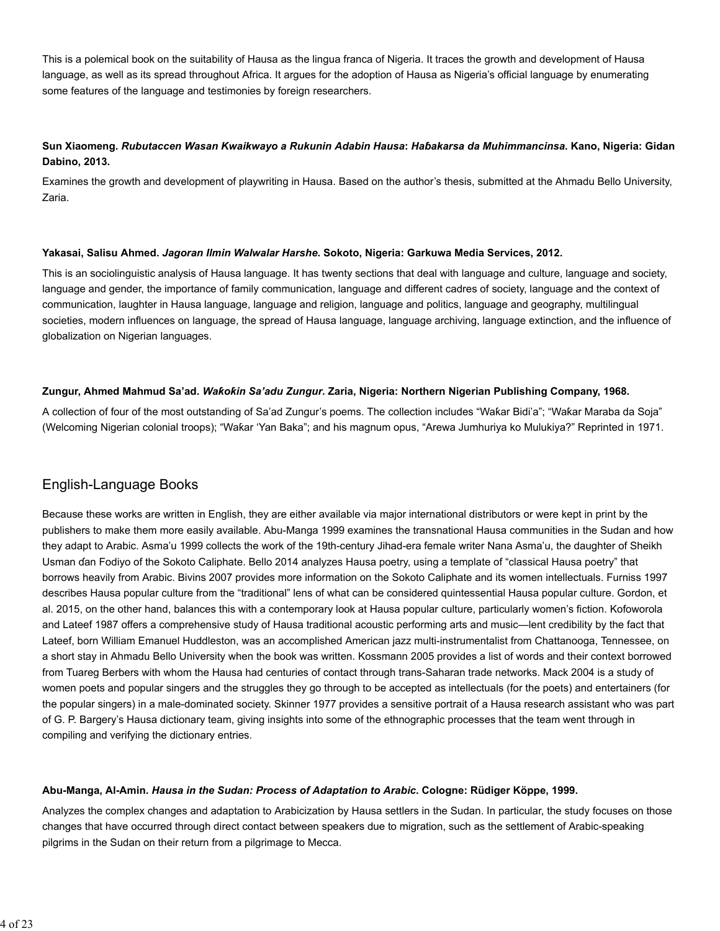This is a polemical book on the suitability of Hausa as the lingua franca of Nigeria. It traces the growth and development of Hausa language, as well as its spread throughout Africa. It argues for the adoption of Hausa as Nigeria's official language by enumerating some features of the language and testimonies by foreign researchers.

# **Sun Xiaomeng.** *Rubutaccen Wasan Kwaikwayo a Rukunin Adabin Hausa***:** *Haɓakarsa da Muhimmancinsa***. Kano, Nigeria: Gidan Dabino, 2013.**

Examines the growth and development of playwriting in Hausa. Based on the author's thesis, submitted at the Ahmadu Bello University, Zaria.

#### **Yakasai, Salisu Ahmed.** *Jagoran Ilmin Walwalar Harshe***. Sokoto, Nigeria: Garkuwa Media Services, 2012.**

This is an sociolinguistic analysis of Hausa language. It has twenty sections that deal with language and culture, language and society, language and gender, the importance of family communication, language and different cadres of society, language and the context of communication, laughter in Hausa language, language and religion, language and politics, language and geography, multilingual societies, modern influences on language, the spread of Hausa language, language archiving, language extinction, and the influence of globalization on Nigerian languages.

#### **Zungur, Ahmed Mahmud Sa'ad.** *Waƙoƙin Sa'adu Zungur***. Zaria, Nigeria: Northern Nigerian Publishing Company, 1968.**

A collection of four of the most outstanding of Sa'ad Zungur's poems. The collection includes "Waƙar Bidi'a"; "Waƙar Maraba da Soja" (Welcoming Nigerian colonial troops); "Waƙar 'Yan Baka"; and his magnum opus, "Arewa Jumhuriya ko Mulukiya?" Reprinted in 1971.

# English-Language Books

Because these works are written in English, they are either available via major international distributors or were kept in print by the publishers to make them more easily available. Abu-Manga 1999 examines the transnational Hausa communities in the Sudan and how they adapt to Arabic. Asma'u 1999 collects the work of the 19th-century Jihad-era female writer Nana Asma'u, the daughter of Sheikh Usman ɗan Fodiyo of the Sokoto Caliphate. Bello 2014 analyzes Hausa poetry, using a template of "classical Hausa poetry" that borrows heavily from Arabic. Bivins 2007 provides more information on the Sokoto Caliphate and its women intellectuals. Furniss 1997 describes Hausa popular culture from the "traditional" lens of what can be considered quintessential Hausa popular culture. Gordon, et al. 2015, on the other hand, balances this with a contemporary look at Hausa popular culture, particularly women's fiction. Kofoworola and Lateef 1987 offers a comprehensive study of Hausa traditional acoustic performing arts and music—lent credibility by the fact that Lateef, born William Emanuel Huddleston, was an accomplished American jazz multi-instrumentalist from Chattanooga, Tennessee, on a short stay in Ahmadu Bello University when the book was written. Kossmann 2005 provides a list of words and their context borrowed from Tuareg Berbers with whom the Hausa had centuries of contact through trans-Saharan trade networks. Mack 2004 is a study of women poets and popular singers and the struggles they go through to be accepted as intellectuals (for the poets) and entertainers (for the popular singers) in a male-dominated society. Skinner 1977 provides a sensitive portrait of a Hausa research assistant who was part of G. P. Bargery's Hausa dictionary team, giving insights into some of the ethnographic processes that the team went through in compiling and verifying the dictionary entries.

#### **Abu-Manga, Al-Amin.** *Hausa in the Sudan: Process of Adaptation to Arabic***. Cologne: Rüdiger Köppe, 1999.**

Analyzes the complex changes and adaptation to Arabicization by Hausa settlers in the Sudan. In particular, the study focuses on those changes that have occurred through direct contact between speakers due to migration, such as the settlement of Arabic-speaking pilgrims in the Sudan on their return from a pilgrimage to Mecca.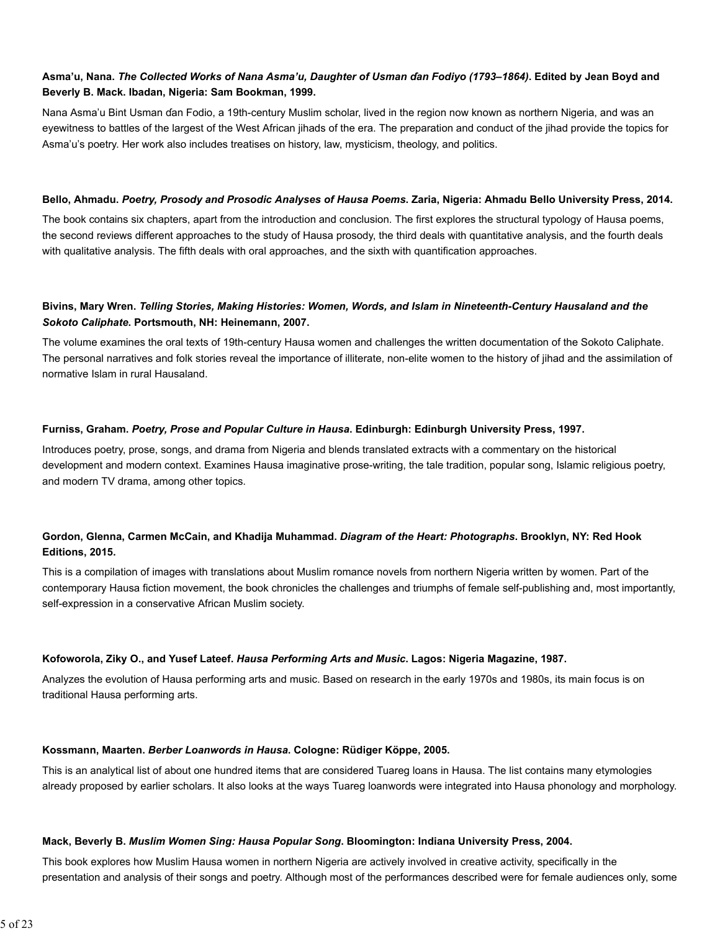# **Asma'u, Nana.** *The Collected Works of Nana Asma'u, Daughter of Usman ɗan Fodiyo (1793–1864)***. Edited by Jean Boyd and Beverly B. Mack. Ibadan, Nigeria: Sam Bookman, 1999.**

Nana Asma'u Bint Usman ɗan Fodio, a 19th-century Muslim scholar, lived in the region now known as northern Nigeria, and was an eyewitness to battles of the largest of the West African jihads of the era. The preparation and conduct of the jihad provide the topics for Asma'u's poetry. Her work also includes treatises on history, law, mysticism, theology, and politics.

#### **Bello, Ahmadu.** *Poetry, Prosody and Prosodic Analyses of Hausa Poems***. Zaria, Nigeria: Ahmadu Bello University Press, 2014.**

The book contains six chapters, apart from the introduction and conclusion. The first explores the structural typology of Hausa poems, the second reviews different approaches to the study of Hausa prosody, the third deals with quantitative analysis, and the fourth deals with qualitative analysis. The fifth deals with oral approaches, and the sixth with quantification approaches.

## **Bivins, Mary Wren.** *Telling Stories, Making Histories: Women, Words, and Islam in Nineteenth-Century Hausaland and the Sokoto Caliphate***. Portsmouth, NH: Heinemann, 2007.**

The volume examines the oral texts of 19th-century Hausa women and challenges the written documentation of the Sokoto Caliphate. The personal narratives and folk stories reveal the importance of illiterate, non-elite women to the history of jihad and the assimilation of normative Islam in rural Hausaland.

#### **Furniss, Graham.** *Poetry, Prose and Popular Culture in Hausa***. Edinburgh: Edinburgh University Press, 1997.**

Introduces poetry, prose, songs, and drama from Nigeria and blends translated extracts with a commentary on the historical development and modern context. Examines Hausa imaginative prose-writing, the tale tradition, popular song, Islamic religious poetry, and modern TV drama, among other topics.

# **Gordon, Glenna, Carmen McCain, and Khadija Muhammad.** *Diagram of the Heart: Photographs***. Brooklyn, NY: Red Hook Editions, 2015.**

This is a compilation of images with translations about Muslim romance novels from northern Nigeria written by women. Part of the contemporary Hausa fiction movement, the book chronicles the challenges and triumphs of female self-publishing and, most importantly, self-expression in a conservative African Muslim society.

#### **Kofoworola, Ziky O., and Yusef Lateef.** *Hausa Performing Arts and Music***. Lagos: Nigeria Magazine, 1987.**

Analyzes the evolution of Hausa performing arts and music. Based on research in the early 1970s and 1980s, its main focus is on traditional Hausa performing arts.

#### **Kossmann, Maarten.** *Berber Loanwords in Hausa***. Cologne: Rüdiger Köppe, 2005.**

This is an analytical list of about one hundred items that are considered Tuareg loans in Hausa. The list contains many etymologies already proposed by earlier scholars. It also looks at the ways Tuareg loanwords were integrated into Hausa phonology and morphology.

#### **Mack, Beverly B.** *Muslim Women Sing: Hausa Popular Song***. Bloomington: Indiana University Press, 2004.**

This book explores how Muslim Hausa women in northern Nigeria are actively involved in creative activity, specifically in the presentation and analysis of their songs and poetry. Although most of the performances described were for female audiences only, some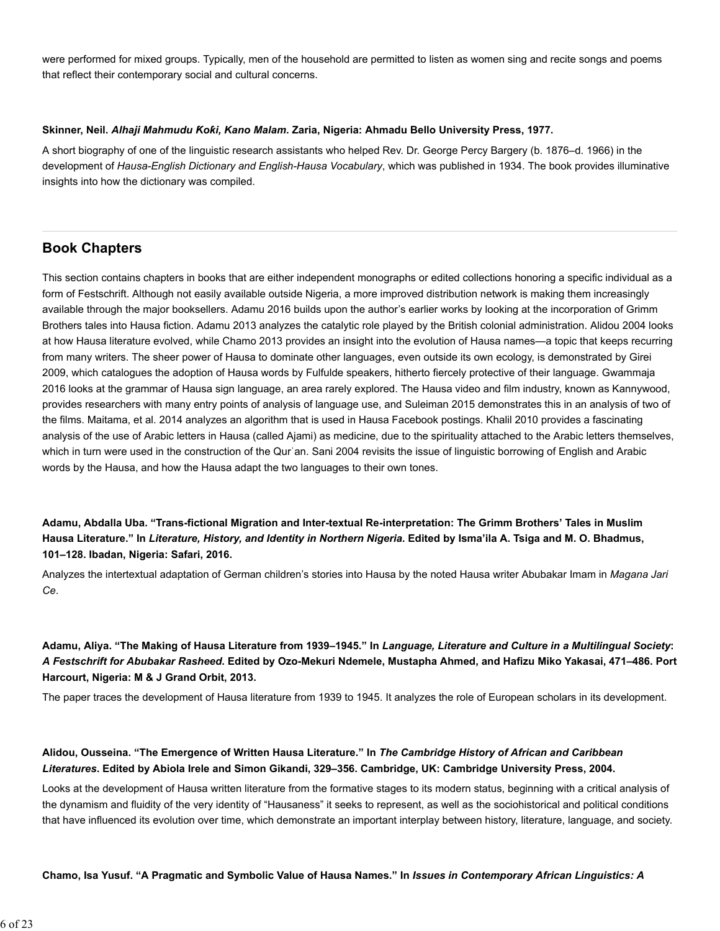were performed for mixed groups. Typically, men of the household are permitted to listen as women sing and recite songs and poems that reflect their contemporary social and cultural concerns.

#### **Skinner, Neil.** *Alhaji Mahmudu Ƙoƙi, Kano Malam***. Zaria, Nigeria: Ahmadu Bello University Press, 1977.**

A short biography of one of the linguistic research assistants who helped Rev. Dr. George Percy Bargery (b. 1876–d. 1966) in the development of *Hausa-English Dictionary and English-Hausa Vocabulary*, which was published in 1934. The book provides illuminative insights into how the dictionary was compiled.

# **Book Chapters**

This section contains chapters in books that are either independent monographs or edited collections honoring a specific individual as a form of Festschrift. Although not easily available outside Nigeria, a more improved distribution network is making them increasingly available through the major booksellers. Adamu 2016 builds upon the author's earlier works by looking at the incorporation of Grimm Brothers tales into Hausa fiction. Adamu 2013 analyzes the catalytic role played by the British colonial administration. Alidou 2004 looks at how Hausa literature evolved, while Chamo 2013 provides an insight into the evolution of Hausa names—a topic that keeps recurring from many writers. The sheer power of Hausa to dominate other languages, even outside its own ecology, is demonstrated by Girei 2009, which catalogues the adoption of Hausa words by Fulfulde speakers, hitherto fiercely protective of their language. Gwammaja 2016 looks at the grammar of Hausa sign language, an area rarely explored. The Hausa video and film industry, known as Kannywood, provides researchers with many entry points of analysis of language use, and Suleiman 2015 demonstrates this in an analysis of two of the films. Maitama, et al. 2014 analyzes an algorithm that is used in Hausa Facebook postings. Khalil 2010 provides a fascinating analysis of the use of Arabic letters in Hausa (called Ajami) as medicine, due to the spirituality attached to the Arabic letters themselves, which in turn were used in the construction of the Qurʾan. Sani 2004 revisits the issue of linguistic borrowing of English and Arabic words by the Hausa, and how the Hausa adapt the two languages to their own tones.

**Adamu, Abdalla Uba. "Trans-fictional Migration and Inter-textual Re-interpretation: The Grimm Brothers' Tales in Muslim Hausa Literature." In** *Literature, History, and Identity in Northern Nigeria***. Edited by Isma'ila A. Tsiga and M. O. Bhadmus, 101–128. Ibadan, Nigeria: Safari, 2016.**

Analyzes the intertextual adaptation of German children's stories into Hausa by the noted Hausa writer Abubakar Imam in *Magana Jari Ce*.

**Adamu, Aliya. "The Making of Hausa Literature from 1939–1945." In** *Language, Literature and Culture in a Multilingual Society***:** *A Festschrift for Abubakar Rasheed***. Edited by Ozo-Mekuri Ndemele, Mustapha Ahmed, and Hafizu Miko Yakasai, 471–486. Port Harcourt, Nigeria: M & J Grand Orbit, 2013.**

The paper traces the development of Hausa literature from 1939 to 1945. It analyzes the role of European scholars in its development.

# **Alidou, Ousseina. "The Emergence of Written Hausa Literature." In** *The Cambridge History of African and Caribbean Literatures***. Edited by Abiola Irele and Simon Gikandi, 329–356. Cambridge, UK: Cambridge University Press, 2004.**

Looks at the development of Hausa written literature from the formative stages to its modern status, beginning with a critical analysis of the dynamism and fluidity of the very identity of "Hausaness" it seeks to represent, as well as the sociohistorical and political conditions that have influenced its evolution over time, which demonstrate an important interplay between history, literature, language, and society.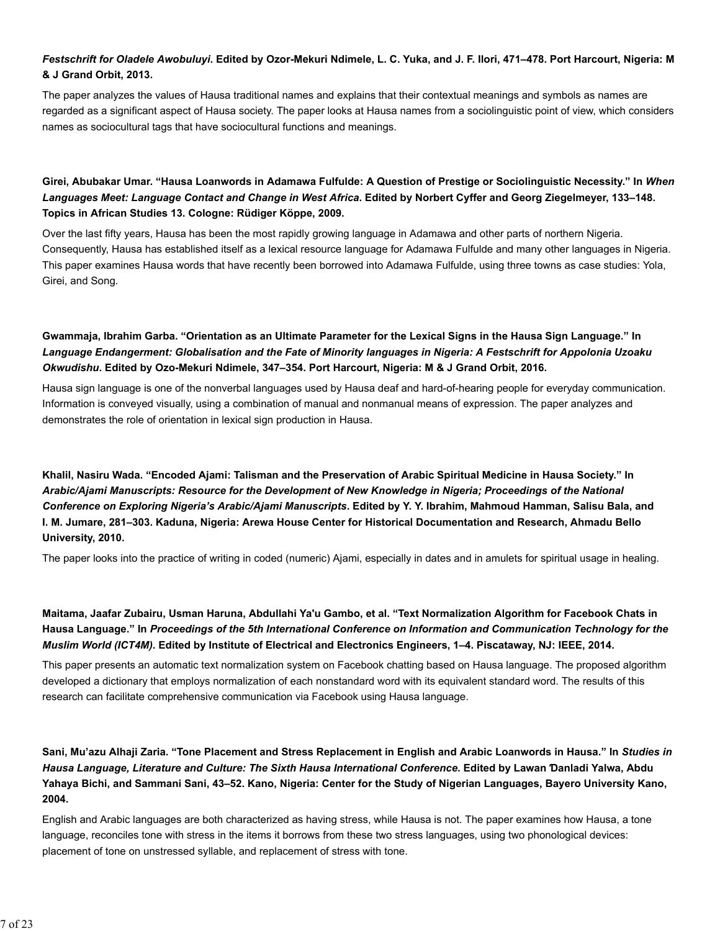# *Festschrift for Oladele Awobuluyi***. Edited by Ozor-Mekuri Ndimele, L. C. Yuka, and J. F. Ilori, 471–478. Port Harcourt, Nigeria: M & J Grand Orbit, 2013.**

The paper analyzes the values of Hausa traditional names and explains that their contextual meanings and symbols as names are regarded as a significant aspect of Hausa society. The paper looks at Hausa names from a sociolinguistic point of view, which considers names as sociocultural tags that have sociocultural functions and meanings.

# **Girei, Abubakar Umar. "Hausa Loanwords in Adamawa Fulfulde: A Question of Prestige or Sociolinguistic Necessity." In** *When Languages Meet: Language Contact and Change in West Africa***. Edited by Norbert Cyffer and Georg Ziegelmeyer, 133–148. Topics in African Studies 13. Cologne: Rüdiger Köppe, 2009.**

Over the last fifty years, Hausa has been the most rapidly growing language in Adamawa and other parts of northern Nigeria. Consequently, Hausa has established itself as a lexical resource language for Adamawa Fulfulde and many other languages in Nigeria. This paper examines Hausa words that have recently been borrowed into Adamawa Fulfulde, using three towns as case studies: Yola, Girei, and Song.

# **Gwammaja, Ibrahim Garba. "Orientation as an Ultimate Parameter for the Lexical Signs in the Hausa Sign Language." In** *Language Endangerment: Globalisation and the Fate of Minority languages in Nigeria: A Festschrift for Appolonia Uzoaku Okwudishu***. Edited by Ozo-Mekuri Ndimele, 347–354. Port Harcourt, Nigeria: M & J Grand Orbit, 2016.**

Hausa sign language is one of the nonverbal languages used by Hausa deaf and hard-of-hearing people for everyday communication. Information is conveyed visually, using a combination of manual and nonmanual means of expression. The paper analyzes and demonstrates the role of orientation in lexical sign production in Hausa.

**Khalil, Nasiru Wada. "Encoded Ajami: Talisman and the Preservation of Arabic Spiritual Medicine in Hausa Society." In** *Arabic/Ajami Manuscripts: Resource for the Development of New Knowledge in Nigeria; Proceedings of the National Conference on Exploring Nigeria's Arabic/Ajami Manuscripts***. Edited by Y. Y. Ibrahim, Mahmoud Hamman, Salisu Bala, and I. M. Jumare, 281–303. Kaduna, Nigeria: Arewa House Center for Historical Documentation and Research, Ahmadu Bello University, 2010.**

The paper looks into the practice of writing in coded (numeric) Ajami, especially in dates and in amulets for spiritual usage in healing.

# **Maitama, Jaafar Zubairu, Usman Haruna, Abdullahi Ya'u Gambo, et al. "Text Normalization Algorithm for Facebook Chats in Hausa Language." In** *Proceedings of the 5th International Conference on Information and Communication Technology for the Muslim World (ICT4M)***. Edited by Institute of Electrical and Electronics Engineers, 1–4. Piscataway, NJ: IEEE, 2014.**

This paper presents an automatic text normalization system on Facebook chatting based on Hausa language. The proposed algorithm developed a dictionary that employs normalization of each nonstandard word with its equivalent standard word. The results of this research can facilitate comprehensive communication via Facebook using Hausa language.

**Sani, Mu'azu Alhaji Zaria. "Tone Placement and Stress Replacement in English and Arabic Loanwords in Hausa." In** *Studies in Hausa Language, Literature and Culture: The Sixth Hausa International Conference***. Edited by Lawan Ɗanladi Yalwa, Abdu Yahaya Bichi, and Sammani Sani, 43–52. Kano, Nigeria: Center for the Study of Nigerian Languages, Bayero University Kano, 2004.**

English and Arabic languages are both characterized as having stress, while Hausa is not. The paper examines how Hausa, a tone language, reconciles tone with stress in the items it borrows from these two stress languages, using two phonological devices: placement of tone on unstressed syllable, and replacement of stress with tone.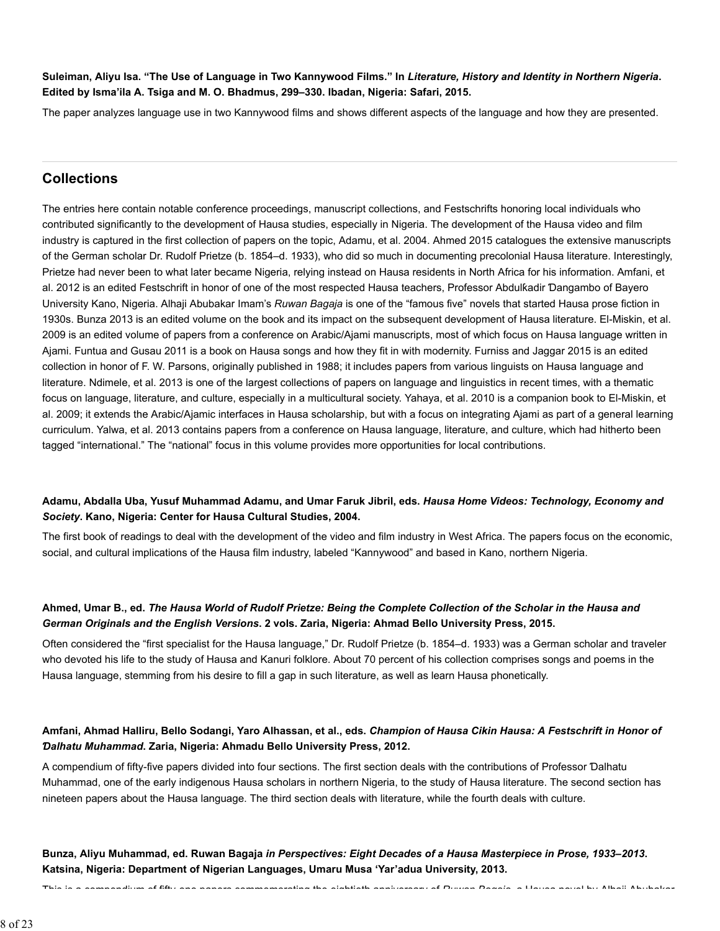**Suleiman, Aliyu Isa. "The Use of Language in Two Kannywood Films." In** *Literature, History and Identity in Northern Nigeria***. Edited by Isma'ila A. Tsiga and M. O. Bhadmus, 299–330. Ibadan, Nigeria: Safari, 2015.**

The paper analyzes language use in two Kannywood films and shows different aspects of the language and how they are presented.

# **Collections**

The entries here contain notable conference proceedings, manuscript collections, and Festschrifts honoring local individuals who contributed significantly to the development of Hausa studies, especially in Nigeria. The development of the Hausa video and film industry is captured in the first collection of papers on the topic, Adamu, et al. 2004. Ahmed 2015 catalogues the extensive manuscripts of the German scholar Dr. Rudolf Prietze (b. 1854–d. 1933), who did so much in documenting precolonial Hausa literature. Interestingly, Prietze had never been to what later became Nigeria, relying instead on Hausa residents in North Africa for his information. Amfani, et al. 2012 is an edited Festschrift in honor of one of the most respected Hausa teachers, Professor Abdulƙadir Ɗangambo of Bayero University Kano, Nigeria. Alhaji Abubakar Imam's *Ruwan Bagaja* is one of the "famous five" novels that started Hausa prose fiction in 1930s. Bunza 2013 is an edited volume on the book and its impact on the subsequent development of Hausa literature. El-Miskin, et al. 2009 is an edited volume of papers from a conference on Arabic/Ajami manuscripts, most of which focus on Hausa language written in Ajami. Funtua and Gusau 2011 is a book on Hausa songs and how they fit in with modernity. Furniss and Jaggar 2015 is an edited collection in honor of F. W. Parsons, originally published in 1988; it includes papers from various linguists on Hausa language and literature. Ndimele, et al. 2013 is one of the largest collections of papers on language and linguistics in recent times, with a thematic focus on language, literature, and culture, especially in a multicultural society. Yahaya, et al. 2010 is a companion book to El-Miskin, et al. 2009; it extends the Arabic/Ajamic interfaces in Hausa scholarship, but with a focus on integrating Ajami as part of a general learning curriculum. Yalwa, et al. 2013 contains papers from a conference on Hausa language, literature, and culture, which had hitherto been tagged "international." The "national" focus in this volume provides more opportunities for local contributions.

# **Adamu, Abdalla Uba, Yusuf Muhammad Adamu, and Umar Faruk Jibril, eds.** *Hausa Home Videos: Technology, Economy and Society***. Kano, Nigeria: Center for Hausa Cultural Studies, 2004.**

The first book of readings to deal with the development of the video and film industry in West Africa. The papers focus on the economic, social, and cultural implications of the Hausa film industry, labeled "Kannywood" and based in Kano, northern Nigeria.

# **Ahmed, Umar B., ed.** *The Hausa World of Rudolf Prietze: Being the Complete Collection of the Scholar in the Hausa and German Originals and the English Versions***. 2 vols. Zaria, Nigeria: Ahmad Bello University Press, 2015.**

Often considered the "first specialist for the Hausa language," Dr. Rudolf Prietze (b. 1854–d. 1933) was a German scholar and traveler who devoted his life to the study of Hausa and Kanuri folklore. About 70 percent of his collection comprises songs and poems in the Hausa language, stemming from his desire to fill a gap in such literature, as well as learn Hausa phonetically.

# **Amfani, Ahmad Halliru, Bello Sodangi, Yaro Alhassan, et al., eds.** *Champion of Hausa Cikin Hausa: A Festschrift in Honor of Ɗalhatu Muhammad***. Zaria, Nigeria: Ahmadu Bello University Press, 2012.**

A compendium of fifty-five papers divided into four sections. The first section deals with the contributions of Professor Ɗalhatu Muhammad, one of the early indigenous Hausa scholars in northern Nigeria, to the study of Hausa literature. The second section has nineteen papers about the Hausa language. The third section deals with literature, while the fourth deals with culture.

**Bunza, Aliyu Muhammad, ed. Ruwan Bagaja** *in Perspectives: Eight Decades of a Hausa Masterpiece in Prose, 1933–2013***. Katsina, Nigeria: Department of Nigerian Languages, Umaru Musa 'Yar'adua University, 2013.**

This is a compendium of fifty one papers commemorating the eightieth anniversary of *Ruwan Bagaja* a Hausa novel by Alhaji Abubakar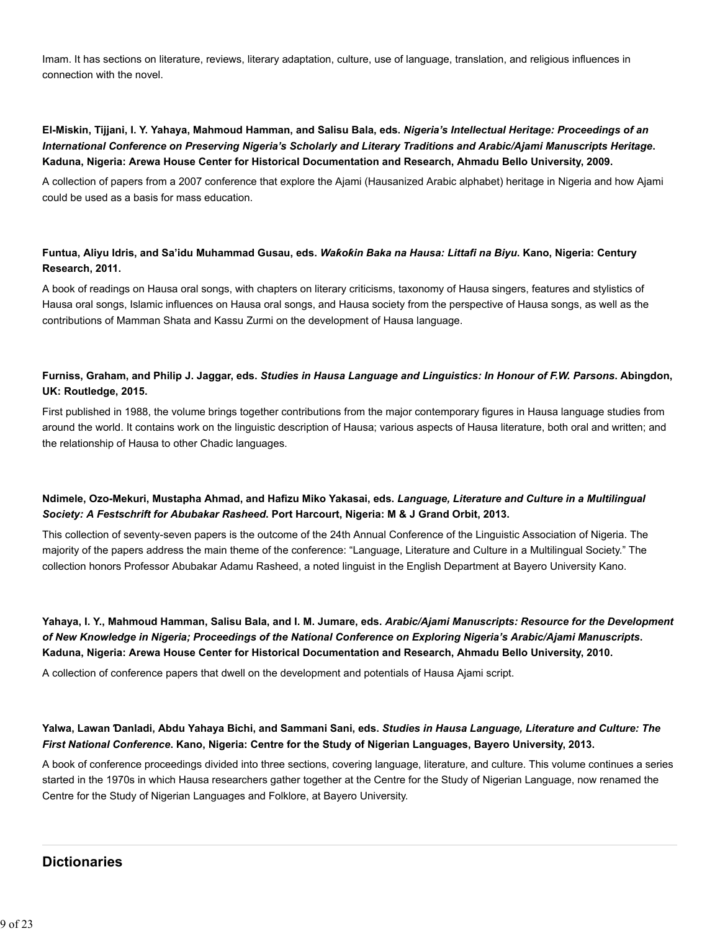Imam. It has sections on literature, reviews, literary adaptation, culture, use of language, translation, and religious influences in connection with the novel.

# **El-Miskin, Tijjani, I. Y. Yahaya, Mahmoud Hamman, and Salisu Bala, eds.** *Nigeria's Intellectual Heritage: Proceedings of an International Conference on Preserving Nigeria's Scholarly and Literary Traditions and Arabic/Ajami Manuscripts Heritage***. Kaduna, Nigeria: Arewa House Center for Historical Documentation and Research, Ahmadu Bello University, 2009.**

A collection of papers from a 2007 conference that explore the Ajami (Hausanized Arabic alphabet) heritage in Nigeria and how Ajami could be used as a basis for mass education.

# **Funtua, Aliyu Idris, and Sa'idu Muhammad Gusau, eds.** *Waƙoƙin Baka na Hausa: Littafi na Biyu***. Kano, Nigeria: Century Research, 2011.**

A book of readings on Hausa oral songs, with chapters on literary criticisms, taxonomy of Hausa singers, features and stylistics of Hausa oral songs, Islamic influences on Hausa oral songs, and Hausa society from the perspective of Hausa songs, as well as the contributions of Mamman Shata and Kassu Zurmi on the development of Hausa language.

# **Furniss, Graham, and Philip J. Jaggar, eds.** *Studies in Hausa Language and Linguistics: In Honour of F.W. Parsons***. Abingdon, UK: Routledge, 2015.**

First published in 1988, the volume brings together contributions from the major contemporary figures in Hausa language studies from around the world. It contains work on the linguistic description of Hausa; various aspects of Hausa literature, both oral and written; and the relationship of Hausa to other Chadic languages.

# **Ndimele, Ozo-Mekuri, Mustapha Ahmad, and Hafizu Miko Yakasai, eds.** *Language, Literature and Culture in a Multilingual Society: A Festschrift for Abubakar Rasheed***. Port Harcourt, Nigeria: M & J Grand Orbit, 2013.**

This collection of seventy-seven papers is the outcome of the 24th Annual Conference of the Linguistic Association of Nigeria. The majority of the papers address the main theme of the conference: "Language, Literature and Culture in a Multilingual Society." The collection honors Professor Abubakar Adamu Rasheed, a noted linguist in the English Department at Bayero University Kano.

**Yahaya, I. Y., Mahmoud Hamman, Salisu Bala, and I. M. Jumare, eds.** *Arabic/Ajami Manuscripts: Resource for the Development of New Knowledge in Nigeria; Proceedings of the National Conference on Exploring Nigeria's Arabic/Ajami Manuscripts***. Kaduna, Nigeria: Arewa House Center for Historical Documentation and Research, Ahmadu Bello University, 2010.**

A collection of conference papers that dwell on the development and potentials of Hausa Ajami script.

# **Yalwa, Lawan Ɗanladi, Abdu Yahaya Bichi, and Sammani Sani, eds.** *Studies in Hausa Language, Literature and Culture: The First National Conference***. Kano, Nigeria: Centre for the Study of Nigerian Languages, Bayero University, 2013.**

A book of conference proceedings divided into three sections, covering language, literature, and culture. This volume continues a series started in the 1970s in which Hausa researchers gather together at the Centre for the Study of Nigerian Language, now renamed the Centre for the Study of Nigerian Languages and Folklore, at Bayero University.

# **Dictionaries**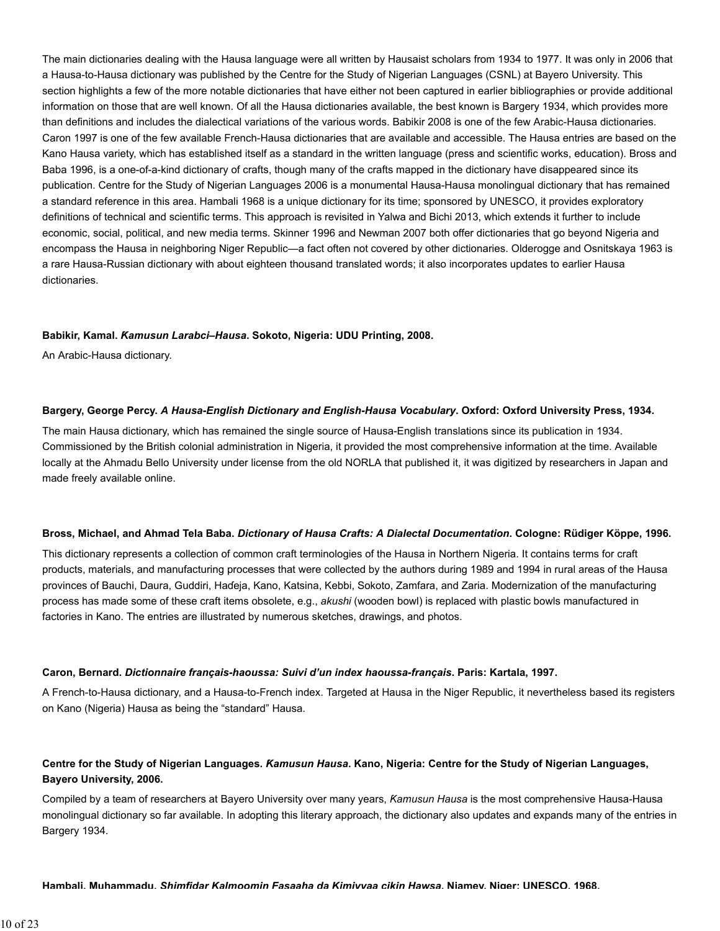The main dictionaries dealing with the Hausa language were all written by Hausaist scholars from 1934 to 1977. It was only in 2006 that a Hausa-to-Hausa dictionary was published by the Centre for the Study of Nigerian Languages (CSNL) at Bayero University. This section highlights a few of the more notable dictionaries that have either not been captured in earlier bibliographies or provide additional information on those that are well known. Of all the Hausa dictionaries available, the best known is Bargery 1934, which provides more than definitions and includes the dialectical variations of the various words. Babikir 2008 is one of the few Arabic-Hausa dictionaries. Caron 1997 is one of the few available French-Hausa dictionaries that are available and accessible. The Hausa entries are based on the Kano Hausa variety, which has established itself as a standard in the written language (press and scientific works, education). Bross and Baba 1996, is a one-of-a-kind dictionary of crafts, though many of the crafts mapped in the dictionary have disappeared since its publication. Centre for the Study of Nigerian Languages 2006 is a monumental Hausa-Hausa monolingual dictionary that has remained a standard reference in this area. Hambali 1968 is a unique dictionary for its time; sponsored by UNESCO, it provides exploratory definitions of technical and scientific terms. This approach is revisited in Yalwa and Bichi 2013, which extends it further to include economic, social, political, and new media terms. Skinner 1996 and Newman 2007 both offer dictionaries that go beyond Nigeria and encompass the Hausa in neighboring Niger Republic—a fact often not covered by other dictionaries. Olderogge and Osnitskaya 1963 is a rare Hausa-Russian dictionary with about eighteen thousand translated words; it also incorporates updates to earlier Hausa dictionaries.

#### **Babikir, Kamal.** *Ƙamusun Larabci–Hausa***. Sokoto, Nigeria: UDU Printing, 2008.**

An Arabic-Hausa dictionary.

#### **Bargery, George Percy.** *A Hausa-English Dictionary and English-Hausa Vocabulary***. Oxford: Oxford University Press, 1934.**

The main Hausa dictionary, which has remained the single source of Hausa-English translations since its publication in 1934. Commissioned by the British colonial administration in Nigeria, it provided the most comprehensive information at the time. Available locally at the Ahmadu Bello University under license from the old NORLA that published it, it was digitized by researchers in Japan and made freely available online.

#### **Bross, Michael, and Ahmad Tela Baba.** *Dictionary of Hausa Crafts: A Dialectal Documentation***. Cologne: Rüdiger Köppe, 1996.**

This dictionary represents a collection of common craft terminologies of the Hausa in Northern Nigeria. It contains terms for craft products, materials, and manufacturing processes that were collected by the authors during 1989 and 1994 in rural areas of the Hausa provinces of Bauchi, Daura, Guddiri, Haɗeja, Kano, Katsina, Kebbi, Sokoto, Zamfara, and Zaria. Modernization of the manufacturing process has made some of these craft items obsolete, e.g., *akushi* (wooden bowl) is replaced with plastic bowls manufactured in factories in Kano. The entries are illustrated by numerous sketches, drawings, and photos.

#### **Caron, Bernard.** *Dictionnaire français-haoussa: Suivi d'un index haoussa-français***. Paris: Kartala, 1997.**

A French-to-Hausa dictionary, and a Hausa-to-French index. Targeted at Hausa in the Niger Republic, it nevertheless based its registers on Kano (Nigeria) Hausa as being the "standard" Hausa.

# **Centre for the Study of Nigerian Languages.** *Ƙamusun Hausa***. Kano, Nigeria: Centre for the Study of Nigerian Languages, Bayero University, 2006.**

Compiled by a team of researchers at Bayero University over many years, *Ƙamusun Hausa* is the most comprehensive Hausa-Hausa monolingual dictionary so far available. In adopting this literary approach, the dictionary also updates and expands many of the entries in Bargery 1934.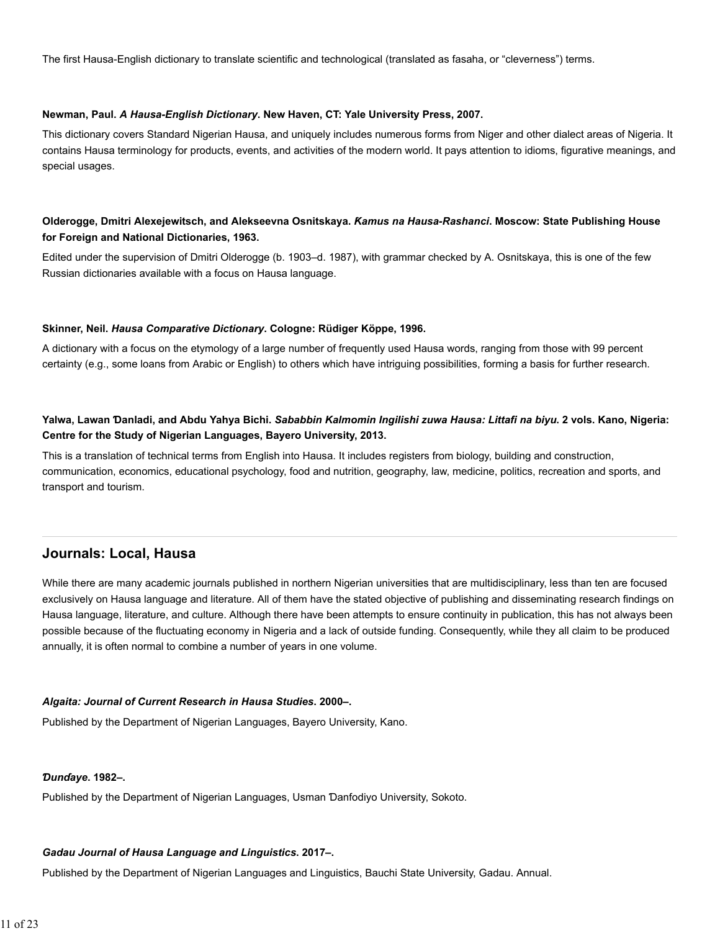The first Hausa-English dictionary to translate scientific and technological (translated as fasaha, or "cleverness") terms.

#### **Newman, Paul.** *A Hausa-English Dictionary***. New Haven, CT: Yale University Press, 2007.**

This dictionary covers Standard Nigerian Hausa, and uniquely includes numerous forms from Niger and other dialect areas of Nigeria. It contains Hausa terminology for products, events, and activities of the modern world. It pays attention to idioms, figurative meanings, and special usages.

# **Olderogge, Dmitri Alexejewitsch, and Alekseevna Osnitskaya.** *Ƙamus na Hausa-Rashanci***. Moscow: State Publishing House for Foreign and National Dictionaries, 1963.**

Edited under the supervision of Dmitri Olderogge (b. 1903–d. 1987), with grammar checked by A. Osnitskaya, this is one of the few Russian dictionaries available with a focus on Hausa language.

#### **Skinner, Neil.** *Hausa Comparative Dictionary***. Cologne: Rüdiger Köppe, 1996.**

A dictionary with a focus on the etymology of a large number of frequently used Hausa words, ranging from those with 99 percent certainty (e.g., some loans from Arabic or English) to others which have intriguing possibilities, forming a basis for further research.

# **Yalwa, Lawan Ɗanladi, and Abdu Yahya Bichi.** *Sababbin Kalmomin Ingilishi zuwa Hausa: Littafi na biyu***. 2 vols. Kano, Nigeria: Centre for the Study of Nigerian Languages, Bayero University, 2013.**

This is a translation of technical terms from English into Hausa. It includes registers from biology, building and construction, communication, economics, educational psychology, food and nutrition, geography, law, medicine, politics, recreation and sports, and transport and tourism.

# **Journals: Local, Hausa**

While there are many academic journals published in northern Nigerian universities that are multidisciplinary, less than ten are focused exclusively on Hausa language and literature. All of them have the stated objective of publishing and disseminating research findings on Hausa language, literature, and culture. Although there have been attempts to ensure continuity in publication, this has not always been possible because of the fluctuating economy in Nigeria and a lack of outside funding. Consequently, while they all claim to be produced annually, it is often normal to combine a number of years in one volume.

#### *Algaita: Journal of Current Research in Hausa Studies***. 2000–.**

Published by the Department of Nigerian Languages, Bayero University, Kano.

#### *Ɗunɗaye***. 1982–.**

Published by the Department of Nigerian Languages, Usman Ɗanfodiyo University, Sokoto.

#### *Gadau Journal of Hausa Language and Linguistics***. 2017–.**

Published by the Department of Nigerian Languages and Linguistics, Bauchi State University, Gadau. Annual.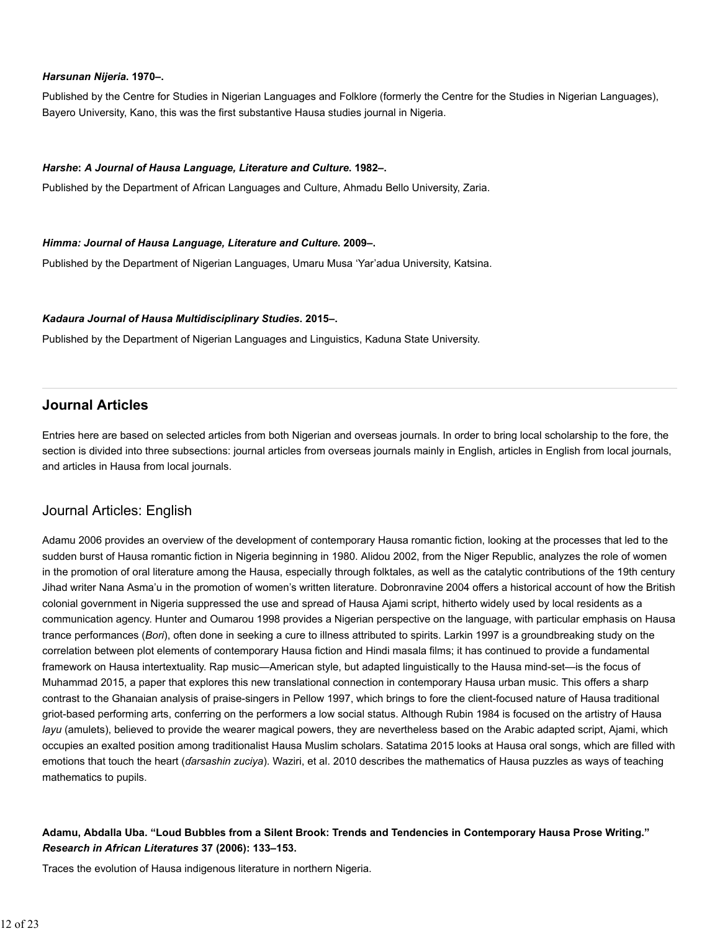#### *Harsunan Nijeria***. 1970–.**

Published by the Centre for Studies in Nigerian Languages and Folklore (formerly the Centre for the Studies in Nigerian Languages), Bayero University, Kano, this was the first substantive Hausa studies journal in Nigeria.

#### *Harshe***:** *A Journal of Hausa Language, Literature and Culture***. 1982–.**

Published by the Department of African Languages and Culture, Ahmadu Bello University, Zaria.

#### *Himma: Journal of Hausa Language, Literature and Culture***. 2009–.**

Published by the Department of Nigerian Languages, Umaru Musa 'Yar'adua University, Katsina.

#### *Kadaura Journal of Hausa Multidisciplinary Studies***. 2015–.**

Published by the Department of Nigerian Languages and Linguistics, Kaduna State University.

# **Journal Articles**

Entries here are based on selected articles from both Nigerian and overseas journals. In order to bring local scholarship to the fore, the section is divided into three subsections: journal articles from overseas journals mainly in English, articles in English from local journals, and articles in Hausa from local journals.

# Journal Articles: English

Adamu 2006 provides an overview of the development of contemporary Hausa romantic fiction, looking at the processes that led to the sudden burst of Hausa romantic fiction in Nigeria beginning in 1980. Alidou 2002, from the Niger Republic, analyzes the role of women in the promotion of oral literature among the Hausa, especially through folktales, as well as the catalytic contributions of the 19th century Jihad writer Nana Asma'u in the promotion of women's written literature. Dobronravine 2004 offers a historical account of how the British colonial government in Nigeria suppressed the use and spread of Hausa Ajami script, hitherto widely used by local residents as a communication agency. Hunter and Oumarou 1998 provides a Nigerian perspective on the language, with particular emphasis on Hausa trance performances (*Bori*), often done in seeking a cure to illness attributed to spirits. Larkin 1997 is a groundbreaking study on the correlation between plot elements of contemporary Hausa fiction and Hindi masala films; it has continued to provide a fundamental framework on Hausa intertextuality. Rap music—American style, but adapted linguistically to the Hausa mind-set—is the focus of Muhammad 2015, a paper that explores this new translational connection in contemporary Hausa urban music. This offers a sharp contrast to the Ghanaian analysis of praise-singers in Pellow 1997, which brings to fore the client-focused nature of Hausa traditional griot-based performing arts, conferring on the performers a low social status. Although Rubin 1984 is focused on the artistry of Hausa *layu* (amulets), believed to provide the wearer magical powers, they are nevertheless based on the Arabic adapted script, Ajami, which occupies an exalted position among traditionalist Hausa Muslim scholars. Satatima 2015 looks at Hausa oral songs, which are filled with emotions that touch the heart (*ɗarsashin zuciya*). Waziri, et al. 2010 describes the mathematics of Hausa puzzles as ways of teaching mathematics to pupils.

# **Adamu, Abdalla Uba. "Loud Bubbles from a Silent Brook: Trends and Tendencies in Contemporary Hausa Prose Writing."** *Research in African Literatures* **37 (2006): 133–153.**

Traces the evolution of Hausa indigenous literature in northern Nigeria.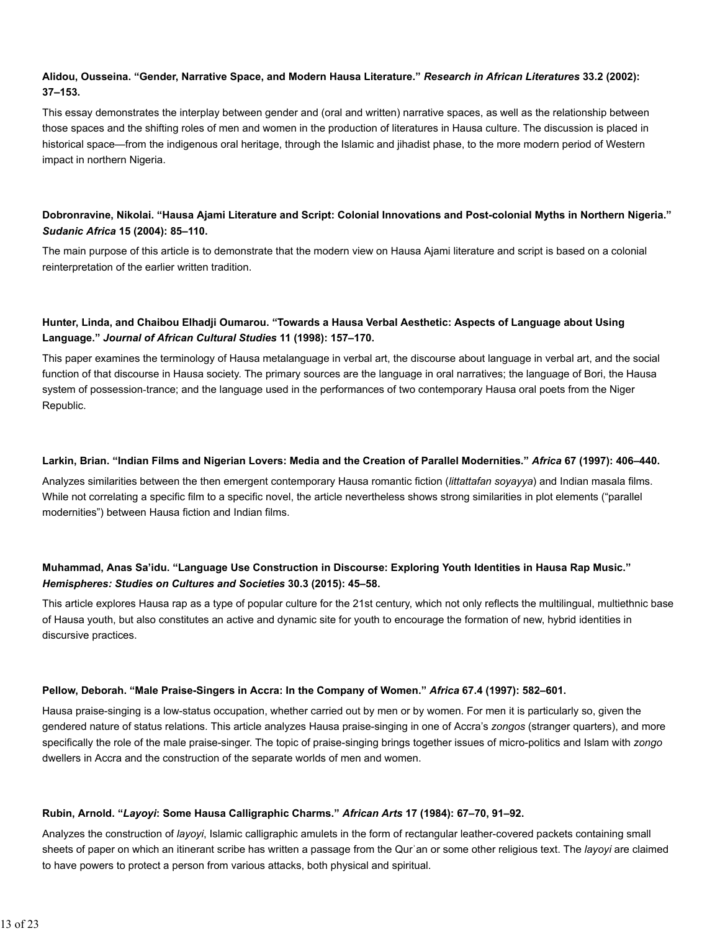# **Alidou, Ousseina. "Gender, Narrative Space, and Modern Hausa Literature."** *Research in African Literatures* **33.2 (2002): 37–153.**

This essay demonstrates the interplay between gender and (oral and written) narrative spaces, as well as the relationship between those spaces and the shifting roles of men and women in the production of literatures in Hausa culture. The discussion is placed in historical space—from the indigenous oral heritage, through the Islamic and jihadist phase, to the more modern period of Western impact in northern Nigeria.

# **Dobronravine, Nikolai. "Hausa Ajami Literature and Script: Colonial Innovations and Post-colonial Myths in Northern Nigeria."** *Sudanic Africa* **15 (2004): 85–110.**

The main purpose of this article is to demonstrate that the modern view on Hausa Ajami literature and script is based on a colonial reinterpretation of the earlier written tradition.

# **Hunter, Linda, and Chaibou Elhadji Oumarou. "Towards a Hausa Verbal Aesthetic: Aspects of Language about Using Language."** *Journal of African Cultural Studies* **11 (1998): 157–170.**

This paper examines the terminology of Hausa metalanguage in verbal art, the discourse about language in verbal art, and the social function of that discourse in Hausa society. The primary sources are the language in oral narratives; the language of Bori, the Hausa system of possession‐trance; and the language used in the performances of two contemporary Hausa oral poets from the Niger Republic.

#### **Larkin, Brian. "Indian Films and Nigerian Lovers: Media and the Creation of Parallel Modernities."** *Africa* **67 (1997): 406–440.**

Analyzes similarities between the then emergent contemporary Hausa romantic fiction (*littattafan soyayya*) and Indian masala films. While not correlating a specific film to a specific novel, the article nevertheless shows strong similarities in plot elements ("parallel modernities") between Hausa fiction and Indian films.

# **Muhammad, Anas Sa'idu. "Language Use Construction in Discourse: Exploring Youth Identities in Hausa Rap Music."** *Hemispheres: Studies on Cultures and Societies* **30.3 (2015): 45–58.**

This article explores Hausa rap as a type of popular culture for the 21st century, which not only reflects the multilingual, multiethnic base of Hausa youth, but also constitutes an active and dynamic site for youth to encourage the formation of new, hybrid identities in discursive practices.

## **Pellow, Deborah. "Male Praise-Singers in Accra: In the Company of Women."** *Africa* **67.4 (1997): 582–601.**

Hausa praise-singing is a low-status occupation, whether carried out by men or by women. For men it is particularly so, given the gendered nature of status relations. This article analyzes Hausa praise-singing in one of Accra's *zongos* (stranger quarters), and more specifically the role of the male praise-singer. The topic of praise-singing brings together issues of micro-politics and Islam with *zongo* dwellers in Accra and the construction of the separate worlds of men and women.

#### **Rubin, Arnold. "***Layoyi***: Some Hausa Calligraphic Charms."** *African Arts* **17 (1984): 67–70, 91–92.**

Analyzes the construction of *layoyi*, Islamic calligraphic amulets in the form of rectangular leather-covered packets containing small sheets of paper on which an itinerant scribe has written a passage from the Qurʾan or some other religious text. The *layoyi* are claimed to have powers to protect a person from various attacks, both physical and spiritual.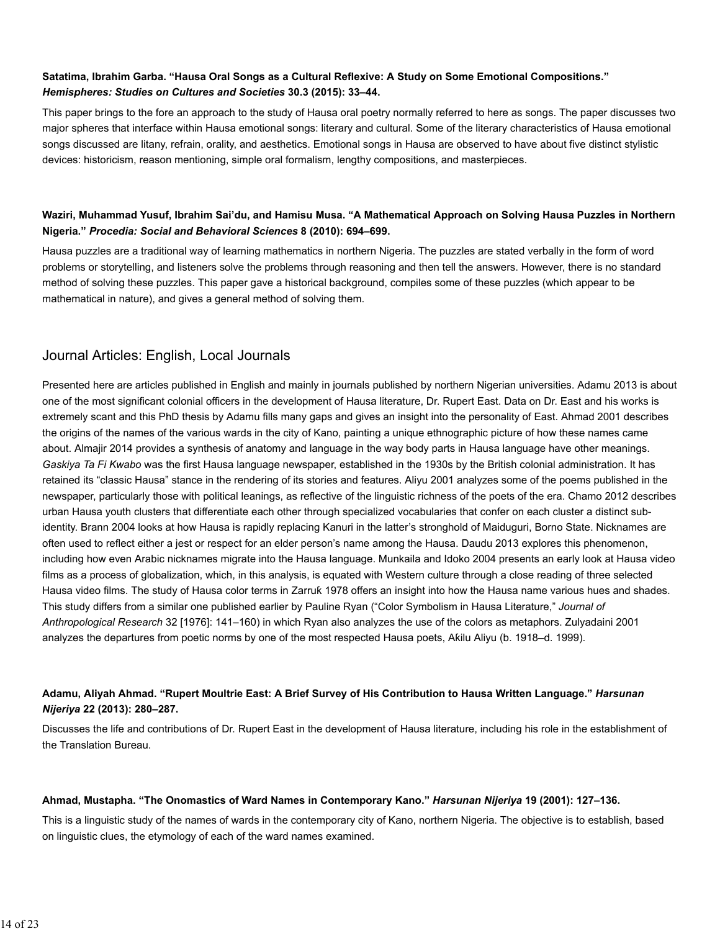# **Satatima, Ibrahim Garba. "Hausa Oral Songs as a Cultural Reflexive: A Study on Some Emotional Compositions."** *Hemispheres: Studies on Cultures and Societies* **30.3 (2015): 33–44.**

This paper brings to the fore an approach to the study of Hausa oral poetry normally referred to here as songs. The paper discusses two major spheres that interface within Hausa emotional songs: literary and cultural. Some of the literary characteristics of Hausa emotional songs discussed are litany, refrain, orality, and aesthetics. Emotional songs in Hausa are observed to have about five distinct stylistic devices: historicism, reason mentioning, simple oral formalism, lengthy compositions, and masterpieces.

# **Waziri, Muhammad Yusuf, Ibrahim Sai'du, and Hamisu Musa. "A Mathematical Approach on Solving Hausa Puzzles in Northern Nigeria."** *Procedia: Social and Behavioral Sciences* **8 (2010): 694–699.**

Hausa puzzles are a traditional way of learning mathematics in northern Nigeria. The puzzles are stated verbally in the form of word problems or storytelling, and listeners solve the problems through reasoning and then tell the answers. However, there is no standard method of solving these puzzles. This paper gave a historical background, compiles some of these puzzles (which appear to be mathematical in nature), and gives a general method of solving them.

# Journal Articles: English, Local Journals

Presented here are articles published in English and mainly in journals published by northern Nigerian universities. Adamu 2013 is about one of the most significant colonial officers in the development of Hausa literature, Dr. Rupert East. Data on Dr. East and his works is extremely scant and this PhD thesis by Adamu fills many gaps and gives an insight into the personality of East. Ahmad 2001 describes the origins of the names of the various wards in the city of Kano, painting a unique ethnographic picture of how these names came about. Almajir 2014 provides a synthesis of anatomy and language in the way body parts in Hausa language have other meanings. *Gaskiya Ta Fi Kwabo* was the first Hausa language newspaper, established in the 1930s by the British colonial administration. It has retained its "classic Hausa" stance in the rendering of its stories and features. Aliyu 2001 analyzes some of the poems published in the newspaper, particularly those with political leanings, as reflective of the linguistic richness of the poets of the era. Chamo 2012 describes urban Hausa youth clusters that differentiate each other through specialized vocabularies that confer on each cluster a distinct subidentity. Brann 2004 looks at how Hausa is rapidly replacing Kanuri in the latter's stronghold of Maiduguri, Borno State. Nicknames are often used to reflect either a jest or respect for an elder person's name among the Hausa. Daudu 2013 explores this phenomenon, including how even Arabic nicknames migrate into the Hausa language. Munkaila and Idoko 2004 presents an early look at Hausa video films as a process of globalization, which, in this analysis, is equated with Western culture through a close reading of three selected Hausa video films. The study of Hausa color terms in Zarruƙ 1978 offers an insight into how the Hausa name various hues and shades. This study differs from a similar one published earlier by Pauline Ryan ("Color Symbolism in Hausa Literature," *Journal of Anthropological Research* 32 [1976]: 141–160) in which Ryan also analyzes the use of the colors as metaphors. Zulyadaini 2001 analyzes the departures from poetic norms by one of the most respected Hausa poets, Aƙilu Aliyu (b. 1918–d. 1999).

## **Adamu, Aliyah Ahmad. "Rupert Moultrie East: A Brief Survey of His Contribution to Hausa Written Language."** *Harsunan Nijeriya* **22 (2013): 280–287.**

Discusses the life and contributions of Dr. Rupert East in the development of Hausa literature, including his role in the establishment of the Translation Bureau.

#### **Ahmad, Mustapha. "The Onomastics of Ward Names in Contemporary Kano."** *Harsunan Nijeriya* **19 (2001): 127–136.**

This is a linguistic study of the names of wards in the contemporary city of Kano, northern Nigeria. The objective is to establish, based on linguistic clues, the etymology of each of the ward names examined.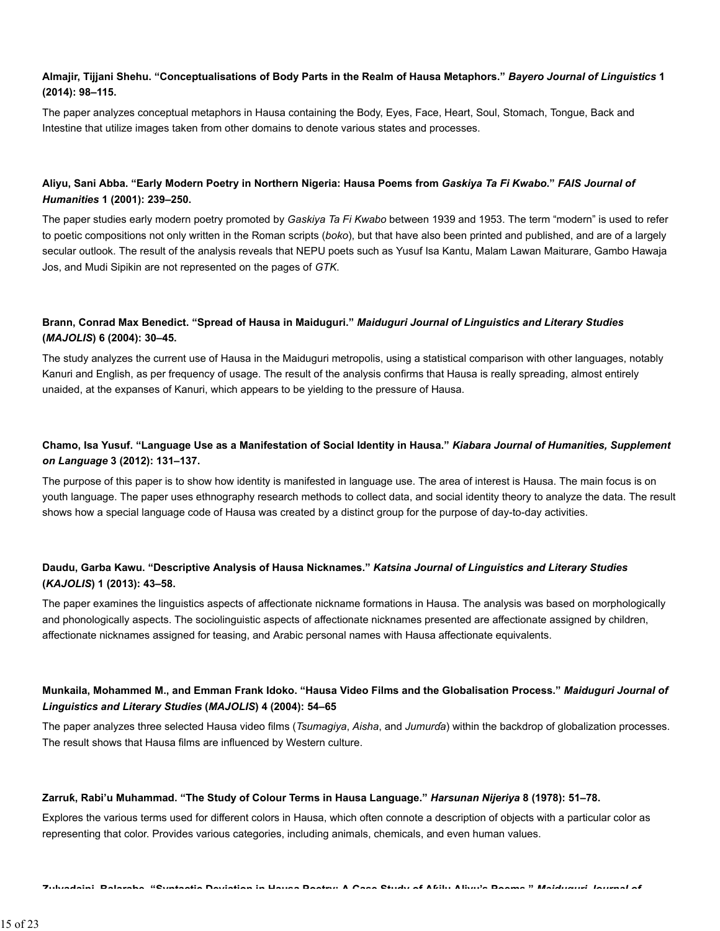# **Almajir, Tijjani Shehu. "Conceptualisations of Body Parts in the Realm of Hausa Metaphors."** *Bayero Journal of Linguistics* **1 (2014): 98–115.**

The paper analyzes conceptual metaphors in Hausa containing the Body, Eyes, Face, Heart, Soul, Stomach, Tongue, Back and Intestine that utilize images taken from other domains to denote various states and processes.

# **Aliyu, Sani Abba. "Early Modern Poetry in Northern Nigeria: Hausa Poems from** *Gaskiya Ta Fi Kwabo***."** *FAIS Journal of Humanities* **1 (2001): 239–250.**

The paper studies early modern poetry promoted by *Gaskiya Ta Fi Kwabo* between 1939 and 1953. The term "modern" is used to refer to poetic compositions not only written in the Roman scripts (*boko*), but that have also been printed and published, and are of a largely secular outlook. The result of the analysis reveals that NEPU poets such as Yusuf Isa Kantu, Malam Lawan Maiturare, Gambo Hawaja Jos, and Mudi Sipikin are not represented on the pages of *GTK*.

# **Brann, Conrad Max Benedict. "Spread of Hausa in Maiduguri."** *Maiduguri Journal of Linguistics and Literary Studies* **(***MAJOLIS***) 6 (2004): 30–45.**

The study analyzes the current use of Hausa in the Maiduguri metropolis, using a statistical comparison with other languages, notably Kanuri and English, as per frequency of usage. The result of the analysis confirms that Hausa is really spreading, almost entirely unaided, at the expanses of Kanuri, which appears to be yielding to the pressure of Hausa.

# **Chamo, Isa Yusuf. "Language Use as a Manifestation of Social Identity in Hausa."** *Kiabara Journal of Humanities, Supplement on Language* **3 (2012): 131–137.**

The purpose of this paper is to show how identity is manifested in language use. The area of interest is Hausa. The main focus is on youth language. The paper uses ethnography research methods to collect data, and social identity theory to analyze the data. The result shows how a special language code of Hausa was created by a distinct group for the purpose of day-to-day activities.

# **Daudu, Garba Kawu. "Descriptive Analysis of Hausa Nicknames."** *Katsina Journal of Linguistics and Literary Studies* **(***KAJOLIS***) 1 (2013): 43–58.**

The paper examines the linguistics aspects of affectionate nickname formations in Hausa. The analysis was based on morphologically and phonologically aspects. The sociolinguistic aspects of affectionate nicknames presented are affectionate assigned by children, affectionate nicknames assigned for teasing, and Arabic personal names with Hausa affectionate equivalents.

## **Munkaila, Mohammed M., and Emman Frank Idoko. "Hausa Video Films and the Globalisation Process."** *Maiduguri Journal of Linguistics and Literary Studies* **(***MAJOLIS***) 4 (2004): 54–65**

The paper analyzes three selected Hausa video films (*Tsumagiya*, *Aisha*, and *Jumurɗa*) within the backdrop of globalization processes. The result shows that Hausa films are influenced by Western culture.

#### **Zarruƙ, Rabi'u Muhammad. "The Study of Colour Terms in Hausa Language."** *Harsunan Nijeriya* **8 (1978): 51–78.**

Explores the various terms used for different colors in Hausa, which often connote a description of objects with a particular color as representing that color. Provides various categories, including animals, chemicals, and even human values.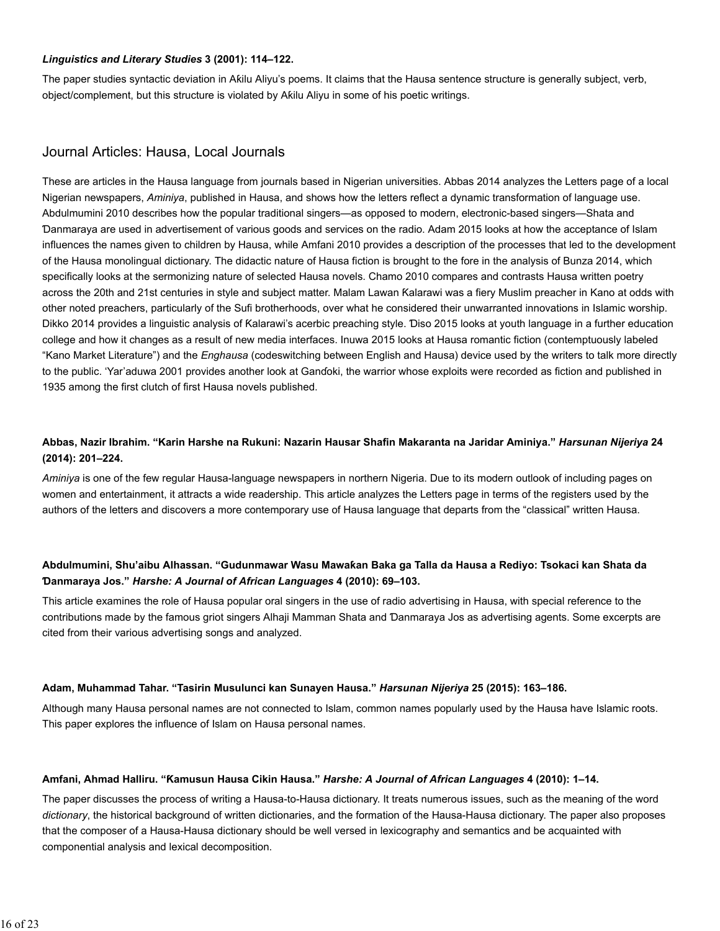#### *Linguistics and Literary Studies* **3 (2001): 114–122.**

The paper studies syntactic deviation in Aƙilu Aliyu's poems. It claims that the Hausa sentence structure is generally subject, verb, object/complement, but this structure is violated by Aƙilu Aliyu in some of his poetic writings.

# Journal Articles: Hausa, Local Journals

These are articles in the Hausa language from journals based in Nigerian universities. Abbas 2014 analyzes the Letters page of a local Nigerian newspapers, *Aminiya*, published in Hausa, and shows how the letters reflect a dynamic transformation of language use. Abdulmumini 2010 describes how the popular traditional singers—as opposed to modern, electronic-based singers—Shata and Ɗanmaraya are used in advertisement of various goods and services on the radio. Adam 2015 looks at how the acceptance of Islam influences the names given to children by Hausa, while Amfani 2010 provides a description of the processes that led to the development of the Hausa monolingual dictionary. The didactic nature of Hausa fiction is brought to the fore in the analysis of Bunza 2014, which specifically looks at the sermonizing nature of selected Hausa novels. Chamo 2010 compares and contrasts Hausa written poetry across the 20th and 21st centuries in style and subject matter. Malam Lawan Ƙalarawi was a fiery Muslim preacher in Kano at odds with other noted preachers, particularly of the Sufi brotherhoods, over what he considered their unwarranted innovations in Islamic worship. Dikko 2014 provides a linguistic analysis of Ƙalarawi's acerbic preaching style. Ɗiso 2015 looks at youth language in a further education college and how it changes as a result of new media interfaces. Inuwa 2015 looks at Hausa romantic fiction (contemptuously labeled "Kano Market Literature") and the *Enghausa* (codeswitching between English and Hausa) device used by the writers to talk more directly to the public. 'Yar'aduwa 2001 provides another look at Ganɗoki, the warrior whose exploits were recorded as fiction and published in 1935 among the first clutch of first Hausa novels published.

# **Abbas, Nazir Ibrahim. "Karin Harshe na Rukuni: Nazarin Hausar Shafin Makaranta na Jaridar Aminiya."** *Harsunan Nijeriya* **24 (2014): 201–224.**

*Aminiya* is one of the few regular Hausa-language newspapers in northern Nigeria. Due to its modern outlook of including pages on women and entertainment, it attracts a wide readership. This article analyzes the Letters page in terms of the registers used by the authors of the letters and discovers a more contemporary use of Hausa language that departs from the "classical" written Hausa.

## **Abdulmumini, Shu'aibu Alhassan. "Gudunmawar Wasu Mawaƙan Baka ga Talla da Hausa a Rediyo: Tsokaci kan Shata da Ɗanmaraya Jos."** *Harshe: A Journal of African Languages* **4 (2010): 69–103.**

This article examines the role of Hausa popular oral singers in the use of radio advertising in Hausa, with special reference to the contributions made by the famous griot singers Alhaji Mamman Shata and Ɗanmaraya Jos as advertising agents. Some excerpts are cited from their various advertising songs and analyzed.

#### **Adam, Muhammad Tahar. "Tasirin Musulunci kan Sunayen Hausa."** *Harsunan Nijeriya* **25 (2015): 163–186.**

Although many Hausa personal names are not connected to Islam, common names popularly used by the Hausa have Islamic roots. This paper explores the influence of Islam on Hausa personal names.

#### **Amfani, Ahmad Halliru. "Ƙamusun Hausa Cikin Hausa."** *Harshe: A Journal of African Languages* **4 (2010): 1–14.**

The paper discusses the process of writing a Hausa-to-Hausa dictionary. It treats numerous issues, such as the meaning of the word *dictionary*, the historical background of written dictionaries, and the formation of the Hausa-Hausa dictionary. The paper also proposes that the composer of a Hausa-Hausa dictionary should be well versed in lexicography and semantics and be acquainted with componential analysis and lexical decomposition.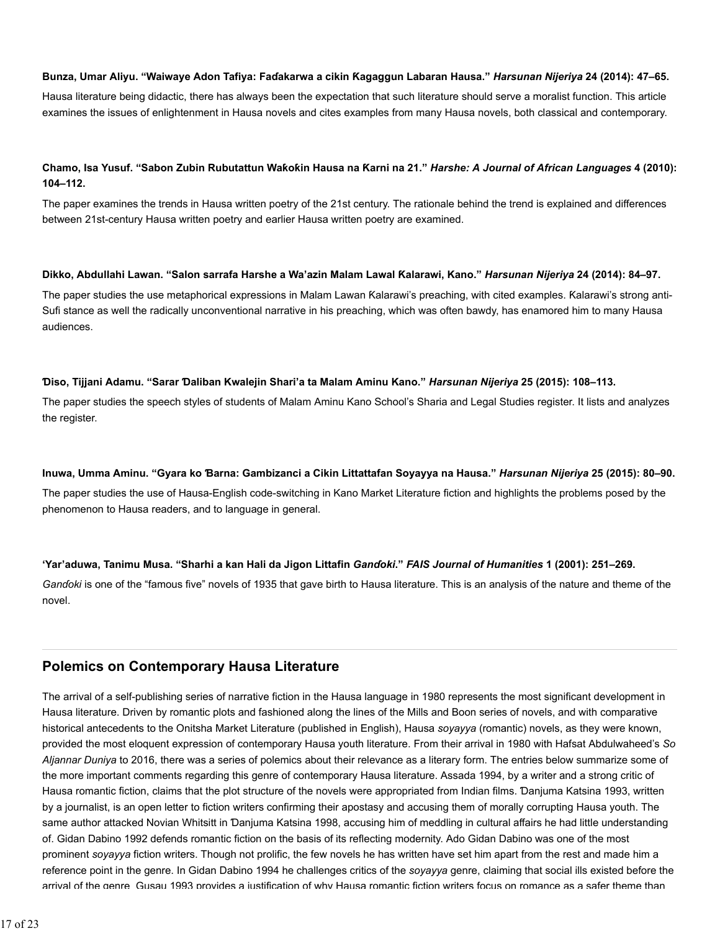#### **Bunza, Umar Aliyu. "Waiwaye Adon Tafiya: Faɗakarwa a cikin Ƙagaggun Labaran Hausa."** *Harsunan Nijeriya* **24 (2014): 47–65.**

Hausa literature being didactic, there has always been the expectation that such literature should serve a moralist function. This article examines the issues of enlightenment in Hausa novels and cites examples from many Hausa novels, both classical and contemporary.

## **Chamo, Isa Yusuf. "Sabon Zubin Rubutattun Waƙoƙin Hausa na Ƙarni na 21."** *Harshe: A Journal of African Languages* **4 (2010): 104–112.**

The paper examines the trends in Hausa written poetry of the 21st century. The rationale behind the trend is explained and differences between 21st-century Hausa written poetry and earlier Hausa written poetry are examined.

#### **Dikko, Abdullahi Lawan. "Salon sarrafa Harshe a Wa'azin Malam Lawal Ƙalarawi, Kano."** *Harsunan Nijeriya* **24 (2014): 84–97.**

The paper studies the use metaphorical expressions in Malam Lawan Ƙalarawi's preaching, with cited examples. Ƙalarawi's strong anti-Sufi stance as well the radically unconventional narrative in his preaching, which was often bawdy, has enamored him to many Hausa audiences.

#### **Ɗiso, Tijjani Adamu. "Sarar Ɗaliban Kwalejin Shari'a ta Malam Aminu Kano."** *Harsunan Nijeriya* **25 (2015): 108–113.**

The paper studies the speech styles of students of Malam Aminu Kano School's Sharia and Legal Studies register. It lists and analyzes the register.

#### **Inuwa, Umma Aminu. "Gyara ko Ɓarna: Gambizanci a Cikin Littattafan Soyayya na Hausa."** *Harsunan Nijeriya* **25 (2015): 80–90.**

The paper studies the use of Hausa-English code-switching in Kano Market Literature fiction and highlights the problems posed by the phenomenon to Hausa readers, and to language in general.

#### **'Yar'aduwa, Tanimu Musa. "Sharhi a kan Hali da Jigon Littafin** *Ganɗoki***."** *FAIS Journal of Humanities* **1 (2001): 251–269.**

*Ganɗoki* is one of the "famous five" novels of 1935 that gave birth to Hausa literature. This is an analysis of the nature and theme of the novel.

# **Polemics on Contemporary Hausa Literature**

The arrival of a self-publishing series of narrative fiction in the Hausa language in 1980 represents the most significant development in Hausa literature. Driven by romantic plots and fashioned along the lines of the Mills and Boon series of novels, and with comparative historical antecedents to the Onitsha Market Literature (published in English), Hausa *soyayya* (romantic) novels, as they were known, provided the most eloquent expression of contemporary Hausa youth literature. From their arrival in 1980 with Hafsat Abdulwaheed's *So Aljannar Duniya* to 2016, there was a series of polemics about their relevance as a literary form. The entries below summarize some of the more important comments regarding this genre of contemporary Hausa literature. Assada 1994, by a writer and a strong critic of Hausa romantic fiction, claims that the plot structure of the novels were appropriated from Indian films. Ɗanjuma Katsina 1993, written by a journalist, is an open letter to fiction writers confirming their apostasy and accusing them of morally corrupting Hausa youth. The same author attacked Novian Whitsitt in Ɗanjuma Katsina 1998, accusing him of meddling in cultural affairs he had little understanding of. Gidan Dabino 1992 defends romantic fiction on the basis of its reflecting modernity. Ado Gidan Dabino was one of the most prominent *soyayya* fiction writers. Though not prolific, the few novels he has written have set him apart from the rest and made him a reference point in the genre. In Gidan Dabino 1994 he challenges critics of the *soyayya* genre, claiming that social ills existed before the arrival of the genre. Gusau 1993 provides a justification of why Hausa romantic fiction writers focus on romance as a safer theme than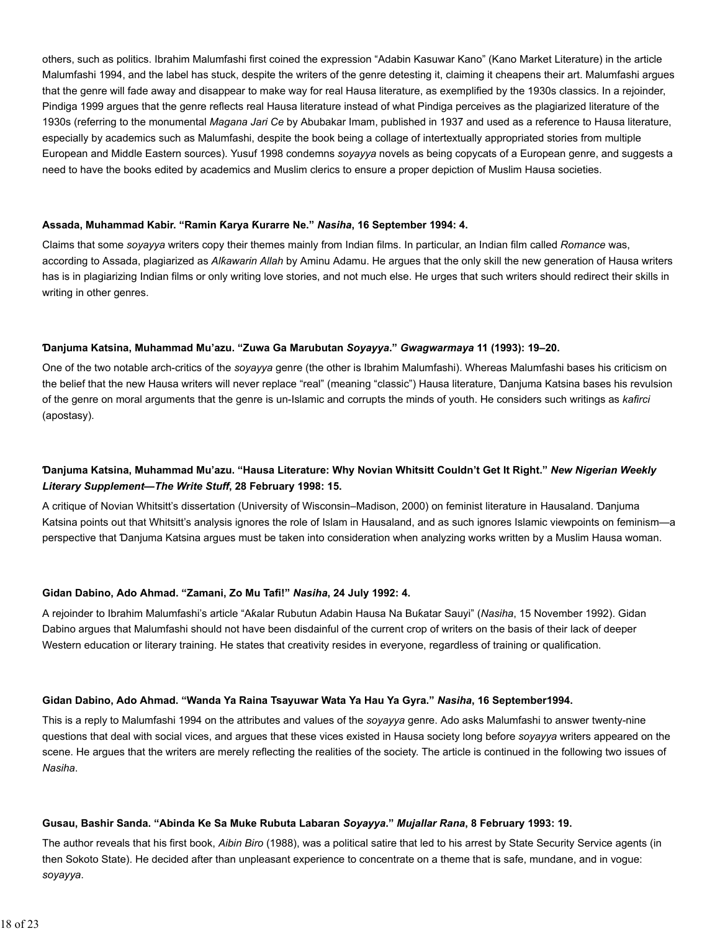others, such as politics. Ibrahim Malumfashi first coined the expression "Adabin Kasuwar Kano" (Kano Market Literature) in the article Malumfashi 1994, and the label has stuck, despite the writers of the genre detesting it, claiming it cheapens their art. Malumfashi argues that the genre will fade away and disappear to make way for real Hausa literature, as exemplified by the 1930s classics. In a rejoinder, Pindiga 1999 argues that the genre reflects real Hausa literature instead of what Pindiga perceives as the plagiarized literature of the 1930s (referring to the monumental *Magana Jari Ce* by Abubakar Imam, published in 1937 and used as a reference to Hausa literature, especially by academics such as Malumfashi, despite the book being a collage of intertextually appropriated stories from multiple European and Middle Eastern sources). Yusuf 1998 condemns *soyayya* novels as being copycats of a European genre, and suggests a need to have the books edited by academics and Muslim clerics to ensure a proper depiction of Muslim Hausa societies.

#### **Assada, Muhammad Kabir. "Ramin Ƙarya Ƙurarre Ne."** *Nasiha***, 16 September 1994: 4.**

Claims that some *soyayya* writers copy their themes mainly from Indian films. In particular, an Indian film called *Romance* was, according to Assada, plagiarized as *Alƙawarin Allah* by Aminu Adamu. He argues that the only skill the new generation of Hausa writers has is in plagiarizing Indian films or only writing love stories, and not much else. He urges that such writers should redirect their skills in writing in other genres.

#### **Ɗanjuma Katsina, Muhammad Mu'azu. "Zuwa Ga Marubutan** *Soyayya***."** *Gwagwarmaya* **11 (1993): 19–20.**

One of the two notable arch-critics of the *soyayya* genre (the other is Ibrahim Malumfashi). Whereas Malumfashi bases his criticism on the belief that the new Hausa writers will never replace "real" (meaning "classic") Hausa literature, Ɗanjuma Katsina bases his revulsion of the genre on moral arguments that the genre is un-Islamic and corrupts the minds of youth. He considers such writings as *kafirci* (apostasy).

# **Ɗanjuma Katsina, Muhammad Mu'azu. "Hausa Literature: Why Novian Whitsitt Couldn't Get It Right."** *New Nigerian Weekly Literary Supplement—The Write Stuff***, 28 February 1998: 15.**

A critique of Novian Whitsitt's dissertation (University of Wisconsin–Madison, 2000) on feminist literature in Hausaland. Ɗanjuma Katsina points out that Whitsitt's analysis ignores the role of Islam in Hausaland, and as such ignores Islamic viewpoints on feminism—a perspective that Ɗanjuma Katsina argues must be taken into consideration when analyzing works written by a Muslim Hausa woman.

#### **Gidan Dabino, Ado Ahmad. "Zamani, Zo Mu Tafi!"** *Nasiha***, 24 July 1992: 4.**

A rejoinder to Ibrahim Malumfashi's article "Aƙalar Rubutun Adabin Hausa Na Buƙatar Sauyi" (*Nasiha*, 15 November 1992). Gidan Dabino argues that Malumfashi should not have been disdainful of the current crop of writers on the basis of their lack of deeper Western education or literary training. He states that creativity resides in everyone, regardless of training or qualification.

#### **Gidan Dabino, Ado Ahmad. "Wanda Ya Raina Tsayuwar Wata Ya Hau Ya Gyra."** *Nasiha***, 16 September1994.**

This is a reply to Malumfashi 1994 on the attributes and values of the *soyayya* genre. Ado asks Malumfashi to answer twenty-nine questions that deal with social vices, and argues that these vices existed in Hausa society long before *soyayya* writers appeared on the scene. He argues that the writers are merely reflecting the realities of the society. The article is continued in the following two issues of *Nasiha*.

#### **Gusau, Bashir Sanda. "Abinda Ke Sa Muke Rubuta Labaran** *Soyayya***."** *Mujallar Rana***, 8 February 1993: 19.**

The author reveals that his first book, *Aibin Biro* (1988), was a political satire that led to his arrest by State Security Service agents (in then Sokoto State). He decided after than unpleasant experience to concentrate on a theme that is safe, mundane, and in vogue: *soyayya*.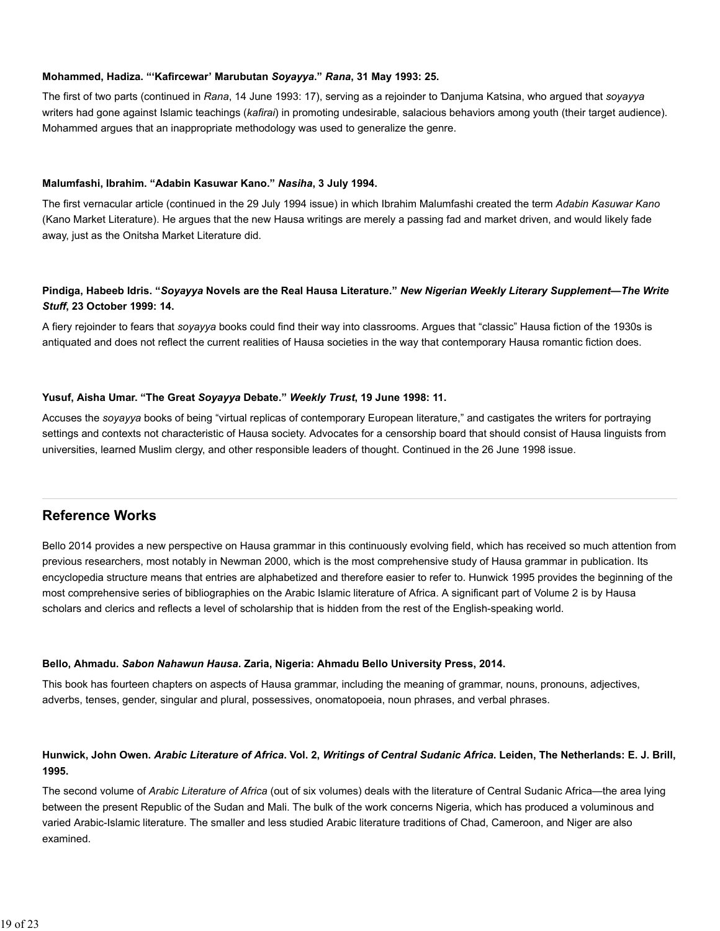#### **Mohammed, Hadiza. "'Kafircewar' Marubutan** *Soyayya***."** *Rana***, 31 May 1993: 25.**

The first of two parts (continued in *Rana*, 14 June 1993: 17), serving as a rejoinder to Ɗanjuma Katsina, who argued that *soyayya* writers had gone against Islamic teachings (*kafirai*) in promoting undesirable, salacious behaviors among youth (their target audience). Mohammed argues that an inappropriate methodology was used to generalize the genre.

#### **Malumfashi, Ibrahim. "Adabin Kasuwar Kano."** *Nasiha***, 3 July 1994.**

The first vernacular article (continued in the 29 July 1994 issue) in which Ibrahim Malumfashi created the term *Adabin Kasuwar Kano* (Kano Market Literature). He argues that the new Hausa writings are merely a passing fad and market driven, and would likely fade away, just as the Onitsha Market Literature did.

# **Pindiga, Habeeb Idris. "***Soyayya* **Novels are the Real Hausa Literature."** *New Nigerian Weekly Literary Supplement—The Write Stuff***, 23 October 1999: 14.**

A fiery rejoinder to fears that *soyayya* books could find their way into classrooms. Argues that "classic" Hausa fiction of the 1930s is antiquated and does not reflect the current realities of Hausa societies in the way that contemporary Hausa romantic fiction does.

#### **Yusuf, Aisha Umar. "The Great** *Soyayya* **Debate."** *Weekly Trust***, 19 June 1998: 11.**

Accuses the *soyayya* books of being "virtual replicas of contemporary European literature," and castigates the writers for portraying settings and contexts not characteristic of Hausa society. Advocates for a censorship board that should consist of Hausa linguists from universities, learned Muslim clergy, and other responsible leaders of thought. Continued in the 26 June 1998 issue.

# **Reference Works**

Bello 2014 provides a new perspective on Hausa grammar in this continuously evolving field, which has received so much attention from previous researchers, most notably in Newman 2000, which is the most comprehensive study of Hausa grammar in publication. Its encyclopedia structure means that entries are alphabetized and therefore easier to refer to. Hunwick 1995 provides the beginning of the most comprehensive series of bibliographies on the Arabic Islamic literature of Africa. A significant part of Volume 2 is by Hausa scholars and clerics and reflects a level of scholarship that is hidden from the rest of the English-speaking world.

#### **Bello, Ahmadu.** *Sabon Nahawun Hausa***. Zaria, Nigeria: Ahmadu Bello University Press, 2014.**

This book has fourteen chapters on aspects of Hausa grammar, including the meaning of grammar, nouns, pronouns, adjectives, adverbs, tenses, gender, singular and plural, possessives, onomatopoeia, noun phrases, and verbal phrases.

# **Hunwick, John Owen.** *Arabic Literature of Africa***. Vol. 2,** *Writings of Central Sudanic Africa***. Leiden, The Netherlands: E. J. Brill, 1995.**

The second volume of *Arabic Literature of Africa* (out of six volumes) deals with the literature of Central Sudanic Africa—the area lying between the present Republic of the Sudan and Mali. The bulk of the work concerns Nigeria, which has produced a voluminous and varied Arabic-Islamic literature. The smaller and less studied Arabic literature traditions of Chad, Cameroon, and Niger are also examined.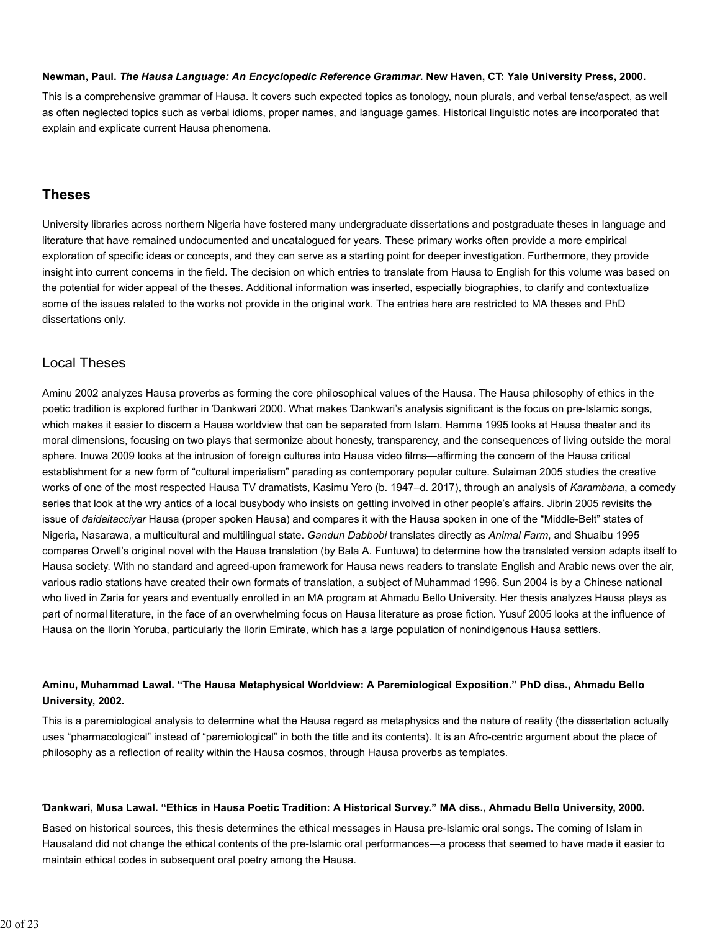#### **Newman, Paul.** *The Hausa Language: An Encyclopedic Reference Grammar***. New Haven, CT: Yale University Press, 2000.**

This is a comprehensive grammar of Hausa. It covers such expected topics as tonology, noun plurals, and verbal tense/aspect, as well as often neglected topics such as verbal idioms, proper names, and language games. Historical linguistic notes are incorporated that explain and explicate current Hausa phenomena.

# **Theses**

University libraries across northern Nigeria have fostered many undergraduate dissertations and postgraduate theses in language and literature that have remained undocumented and uncatalogued for years. These primary works often provide a more empirical exploration of specific ideas or concepts, and they can serve as a starting point for deeper investigation. Furthermore, they provide insight into current concerns in the field. The decision on which entries to translate from Hausa to English for this volume was based on the potential for wider appeal of the theses. Additional information was inserted, especially biographies, to clarify and contextualize some of the issues related to the works not provide in the original work. The entries here are restricted to MA theses and PhD dissertations only.

# Local Theses

Aminu 2002 analyzes Hausa proverbs as forming the core philosophical values of the Hausa. The Hausa philosophy of ethics in the poetic tradition is explored further in Ɗankwari 2000. What makes Ɗankwari's analysis significant is the focus on pre-Islamic songs, which makes it easier to discern a Hausa worldview that can be separated from Islam. Hamma 1995 looks at Hausa theater and its moral dimensions, focusing on two plays that sermonize about honesty, transparency, and the consequences of living outside the moral sphere. Inuwa 2009 looks at the intrusion of foreign cultures into Hausa video films—affirming the concern of the Hausa critical establishment for a new form of "cultural imperialism" parading as contemporary popular culture. Sulaiman 2005 studies the creative works of one of the most respected Hausa TV dramatists, Kasimu Yero (b. 1947–d. 2017), through an analysis of *Karambana*, a comedy series that look at the wry antics of a local busybody who insists on getting involved in other people's affairs. Jibrin 2005 revisits the issue of *daidaitacciyar* Hausa (proper spoken Hausa) and compares it with the Hausa spoken in one of the "Middle-Belt" states of Nigeria, Nasarawa, a multicultural and multilingual state. *Gandun Dabbobi* translates directly as *Animal Farm*, and Shuaibu 1995 compares Orwell's original novel with the Hausa translation (by Bala A. Funtuwa) to determine how the translated version adapts itself to Hausa society. With no standard and agreed-upon framework for Hausa news readers to translate English and Arabic news over the air, various radio stations have created their own formats of translation, a subject of Muhammad 1996. Sun 2004 is by a Chinese national who lived in Zaria for years and eventually enrolled in an MA program at Ahmadu Bello University. Her thesis analyzes Hausa plays as part of normal literature, in the face of an overwhelming focus on Hausa literature as prose fiction. Yusuf 2005 looks at the influence of Hausa on the Ilorin Yoruba, particularly the Ilorin Emirate, which has a large population of nonindigenous Hausa settlers.

# **Aminu, Muhammad Lawal. "The Hausa Metaphysical Worldview: A Paremiological Exposition." PhD diss., Ahmadu Bello University, 2002.**

This is a paremiological analysis to determine what the Hausa regard as metaphysics and the nature of reality (the dissertation actually uses "pharmacological" instead of "paremiological" in both the title and its contents). It is an Afro-centric argument about the place of philosophy as a reflection of reality within the Hausa cosmos, through Hausa proverbs as templates.

#### **Ɗankwari, Musa Lawal. "Ethics in Hausa Poetic Tradition: A Historical Survey." MA diss., Ahmadu Bello University, 2000.**

Based on historical sources, this thesis determines the ethical messages in Hausa pre-Islamic oral songs. The coming of Islam in Hausaland did not change the ethical contents of the pre-Islamic oral performances—a process that seemed to have made it easier to maintain ethical codes in subsequent oral poetry among the Hausa.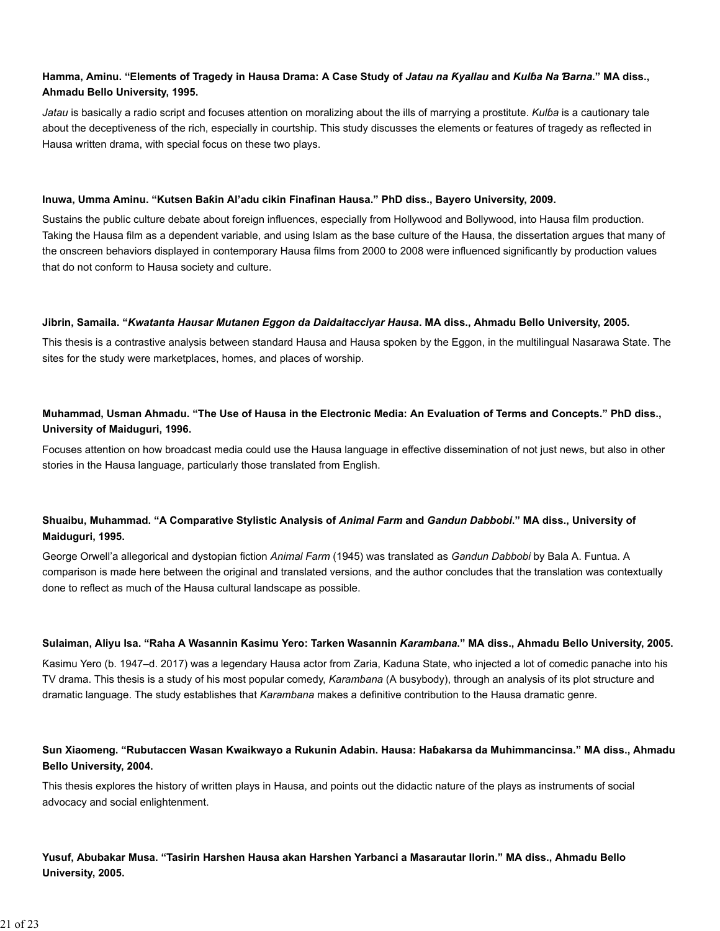# **Hamma, Aminu. "Elements of Tragedy in Hausa Drama: A Case Study of** *Jatau na Ƙyallau* **and** *Kulɓa Na Ɓarna***." MA diss., Ahmadu Bello University, 1995.**

*Jatau* is basically a radio script and focuses attention on moralizing about the ills of marrying a prostitute. *Kulɓa* is a cautionary tale about the deceptiveness of the rich, especially in courtship. This study discusses the elements or features of tragedy as reflected in Hausa written drama, with special focus on these two plays.

#### **Inuwa, Umma Aminu. "Kutsen Baƙin Al'adu cikin Finafinan Hausa." PhD diss., Bayero University, 2009.**

Sustains the public culture debate about foreign influences, especially from Hollywood and Bollywood, into Hausa film production. Taking the Hausa film as a dependent variable, and using Islam as the base culture of the Hausa, the dissertation argues that many of the onscreen behaviors displayed in contemporary Hausa films from 2000 to 2008 were influenced significantly by production values that do not conform to Hausa society and culture.

#### **Jibrin, Samaila. "***Kwatanta Hausar Mutanen Eggon da Daidaitacciyar Hausa***. MA diss., Ahmadu Bello University, 2005.**

This thesis is a contrastive analysis between standard Hausa and Hausa spoken by the Eggon, in the multilingual Nasarawa State. The sites for the study were marketplaces, homes, and places of worship.

# **Muhammad, Usman Ahmadu. "The Use of Hausa in the Electronic Media: An Evaluation of Terms and Concepts." PhD diss., University of Maiduguri, 1996.**

Focuses attention on how broadcast media could use the Hausa language in effective dissemination of not just news, but also in other stories in the Hausa language, particularly those translated from English.

# **Shuaibu, Muhammad. "A Comparative Stylistic Analysis of** *Animal Farm* **and** *Gandun Dabbobi***." MA diss., University of Maiduguri, 1995.**

George Orwell'a allegorical and dystopian fiction *Animal Farm* (1945) was translated as *Gandun Dabbobi* by Bala A. Funtua. A comparison is made here between the original and translated versions, and the author concludes that the translation was contextually done to reflect as much of the Hausa cultural landscape as possible.

#### **Sulaiman, Aliyu Isa. "Raha A Wasannin Ƙasimu Yero: Tarken Wasannin** *Karambana***." MA diss., Ahmadu Bello University, 2005.**

Ƙasimu Yero (b. 1947–d. 2017) was a legendary Hausa actor from Zaria, Kaduna State, who injected a lot of comedic panache into his TV drama. This thesis is a study of his most popular comedy, *Karambana* (A busybody), through an analysis of its plot structure and dramatic language. The study establishes that *Karambana* makes a definitive contribution to the Hausa dramatic genre.

# **Sun Xiaomeng. "Rubutaccen Wasan Kwaikwayo a Rukunin Adabin. Hausa: Haɓakarsa da Muhimmancinsa." MA diss., Ahmadu Bello University, 2004.**

This thesis explores the history of written plays in Hausa, and points out the didactic nature of the plays as instruments of social advocacy and social enlightenment.

# **Yusuf, Abubakar Musa. "Tasirin Harshen Hausa akan Harshen Yarbanci a Masarautar Ilorin." MA diss., Ahmadu Bello University, 2005.**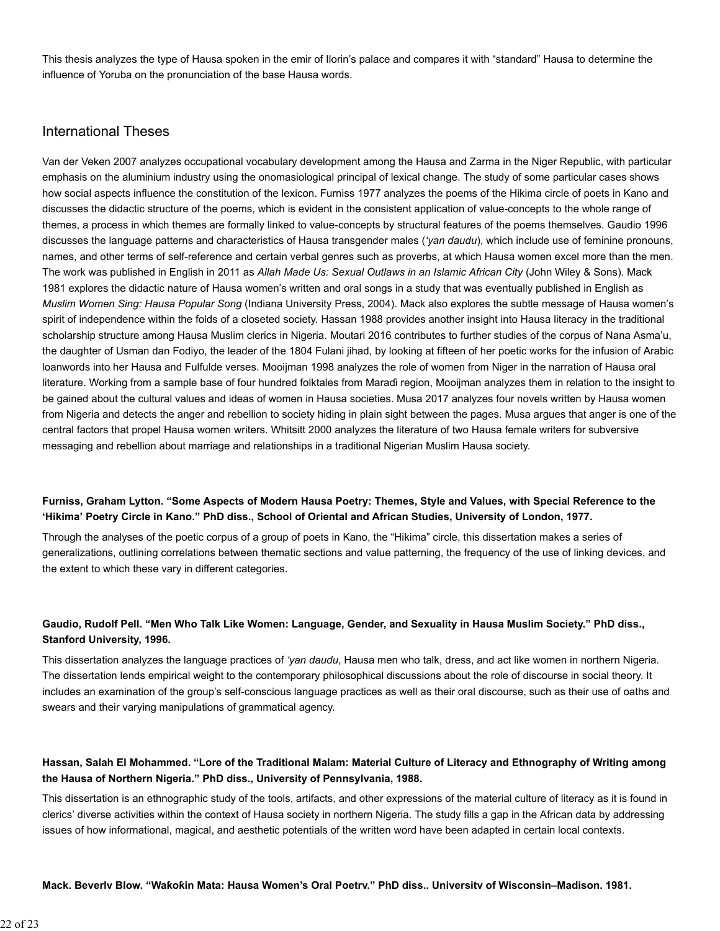This thesis analyzes the type of Hausa spoken in the emir of Ilorin's palace and compares it with "standard" Hausa to determine the influence of Yoruba on the pronunciation of the base Hausa words.

# International Theses

Van der Veken 2007 analyzes occupational vocabulary development among the Hausa and Zarma in the Niger Republic, with particular emphasis on the aluminium industry using the onomasiological principal of lexical change. The study of some particular cases shows how social aspects influence the constitution of the lexicon. Furniss 1977 analyzes the poems of the Hikima circle of poets in Kano and discusses the didactic structure of the poems, which is evident in the consistent application of value-concepts to the whole range of themes, a process in which themes are formally linked to value-concepts by structural features of the poems themselves. Gaudio 1996 discusses the language patterns and characteristics of Hausa transgender males (*'yan daudu*), which include use of feminine pronouns, names, and other terms of self-reference and certain verbal genres such as proverbs, at which Hausa women excel more than the men. The work was published in English in 2011 as *Allah Made Us: Sexual Outlaws in an Islamic African City* (John Wiley & Sons). Mack 1981 explores the didactic nature of Hausa women's written and oral songs in a study that was eventually published in English as *Muslim Women Sing: Hausa Popular Song* (Indiana University Press, 2004). Mack also explores the subtle message of Hausa women's spirit of independence within the folds of a closeted society. Hassan 1988 provides another insight into Hausa literacy in the traditional scholarship structure among Hausa Muslim clerics in Nigeria. Moutari 2016 contributes to further studies of the corpus of Nana Asma'u, the daughter of Usman dan Fodiyo, the leader of the 1804 Fulani jihad, by looking at fifteen of her poetic works for the infusion of Arabic loanwords into her Hausa and Fulfulde verses. Mooijman 1998 analyzes the role of women from Niger in the narration of Hausa oral literature. Working from a sample base of four hundred folktales from Maraɗi region, Mooijman analyzes them in relation to the insight to be gained about the cultural values and ideas of women in Hausa societies. Musa 2017 analyzes four novels written by Hausa women from Nigeria and detects the anger and rebellion to society hiding in plain sight between the pages. Musa argues that anger is one of the central factors that propel Hausa women writers. Whitsitt 2000 analyzes the literature of two Hausa female writers for subversive messaging and rebellion about marriage and relationships in a traditional Nigerian Muslim Hausa society.

# **Furniss, Graham Lytton. "Some Aspects of Modern Hausa Poetry: Themes, Style and Values, with Special Reference to the 'Hikima' Poetry Circle in Kano." PhD diss., School of Oriental and African Studies, University of London, 1977.**

Through the analyses of the poetic corpus of a group of poets in Kano, the "Hikima" circle, this dissertation makes a series of generalizations, outlining correlations between thematic sections and value patterning, the frequency of the use of linking devices, and the extent to which these vary in different categories.

# **Gaudio, Rudolf Pell. "Men Who Talk Like Women: Language, Gender, and Sexuality in Hausa Muslim Society." PhD diss., Stanford University, 1996.**

This dissertation analyzes the language practices of *'yan daudu*, Hausa men who talk, dress, and act like women in northern Nigeria. The dissertation lends empirical weight to the contemporary philosophical discussions about the role of discourse in social theory. It includes an examination of the group's self-conscious language practices as well as their oral discourse, such as their use of oaths and swears and their varying manipulations of grammatical agency.

# **Hassan, Salah El Mohammed. "Lore of the Traditional Malam: Material Culture of Literacy and Ethnography of Writing among the Hausa of Northern Nigeria." PhD diss., University of Pennsylvania, 1988.**

This dissertation is an ethnographic study of the tools, artifacts, and other expressions of the material culture of literacy as it is found in clerics' diverse activities within the context of Hausa society in northern Nigeria. The study fills a gap in the African data by addressing issues of how informational, magical, and aesthetic potentials of the written word have been adapted in certain local contexts.